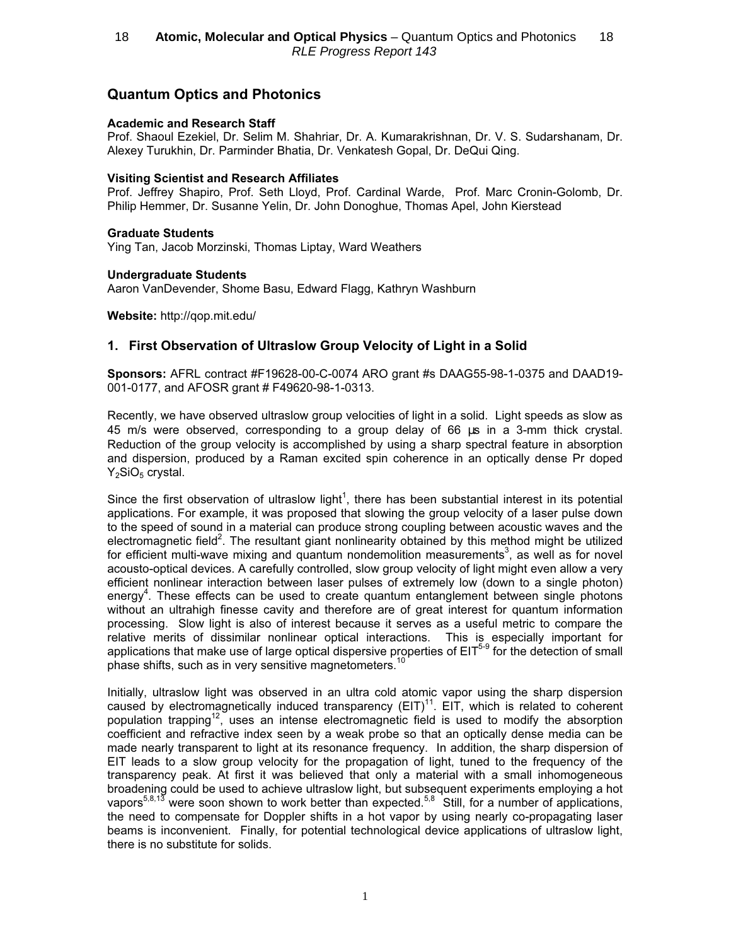# Quantum Optics and Photonics

#### Academic and Research Staff

Prof. Shaoul Ezekiel, Dr. Selim M. Shahriar, Dr. A. Kumarakrishnan, Dr. V. S. Sudarshanam, Dr. Alexey Turukhin, Dr. Parminder Bhatia, Dr. Venkatesh Gopal, Dr. DeQui Qing.

### Visiting Scientist and Research Affiliates

Prof. Jeffrey Shapiro, Prof. Seth Lloyd, Prof. Cardinal Warde, Prof. Marc Cronin-Golomb, Dr. Philip Hemmer, Dr. Susanne Yelin, Dr. John Donoghue, Thomas Apel, John Kierstead

#### Graduate Students

Ying Tan, Jacob Morzinski, Thomas Liptay, Ward Weathers

#### Undergraduate Students

Aaron VanDevender, Shome Basu, Edward Flagg, Kathryn Washburn

Website: http://qop.mit.edu/

# 1. First Observation of Ultraslow Group Velocity of Light in a Solid

Sponsors: AFRL contract #F19628-00-C-0074 ARO grant #s DAAG55-98-1-0375 and DAAD19- 001-0177, and AFOSR grant # F49620-98-1-0313.

Recently, we have observed ultraslow group velocities of light in a solid. Light speeds as slow as 45 m/s were observed, corresponding to a group delay of 66 µs in a 3-mm thick crystal. Reduction of the group velocity is accomplished by using a sharp spectral feature in absorption and dispersion, produced by a Raman excited spin coherence in an optically dense Pr doped  $Y_2SiO_5$  crystal.

Since the first observation of ultraslow light<sup>1</sup>, there has been substantial interest in its potential applications. For example, it was proposed that slowing the group velocity of a laser pulse down to the speed of sound in a material can produce strong coupling between acoustic waves and the electromagnetic field<sup>2</sup>. The resultant giant nonlinearity obtained by this method might be utilized for efficient multi-wave mixing and quantum nondemolition measurements<sup>3</sup>, as well as for novel acousto-optical devices. A carefully controlled, slow group velocity of light might even allow a very efficient nonlinear interaction between laser pulses of extremely low (down to a single photon) energy<sup>4</sup>. These effects can be used to create quantum entanglement between single photons without an ultrahigh finesse cavity and therefore are of great interest for quantum information processing. Slow light is also of interest because it serves as a useful metric to compare the relative merits of dissimilar nonlinear optical interactions. This is especially important for applications that make use of large optical dispersive properties of  $EIT<sup>5-9</sup>$  for the detection of small phase shifts, such as in very sensitive magnetometers.<sup>1</sup>

Initially, ultraslow light was observed in an ultra cold atomic vapor using the sharp dispersion caused by electromagnetically induced transparency  $(EIT)^{11}$ . EIT, which is related to coherent population trapping<sup>12</sup>, uses an intense electromagnetic field is used to modify the absorption coefficient and refractive index seen by a weak probe so that an optically dense media can be made nearly transparent to light at its resonance frequency. In addition, the sharp dispersion of EIT leads to a slow group velocity for the propagation of light, tuned to the frequency of the transparency peak. At first it was believed that only a material with a small inhomogeneous broadening could be used to achieve ultraslow light, but subsequent experiments employing a hot vapors<sup>5,8,13</sup> were soon shown to work better than expected.<sup>5,8</sup> Still, for a number of applications, the need to compensate for Doppler shifts in a hot vapor by using nearly co-propagating laser beams is inconvenient. Finally, for potential technological device applications of ultraslow light, there is no substitute for solids.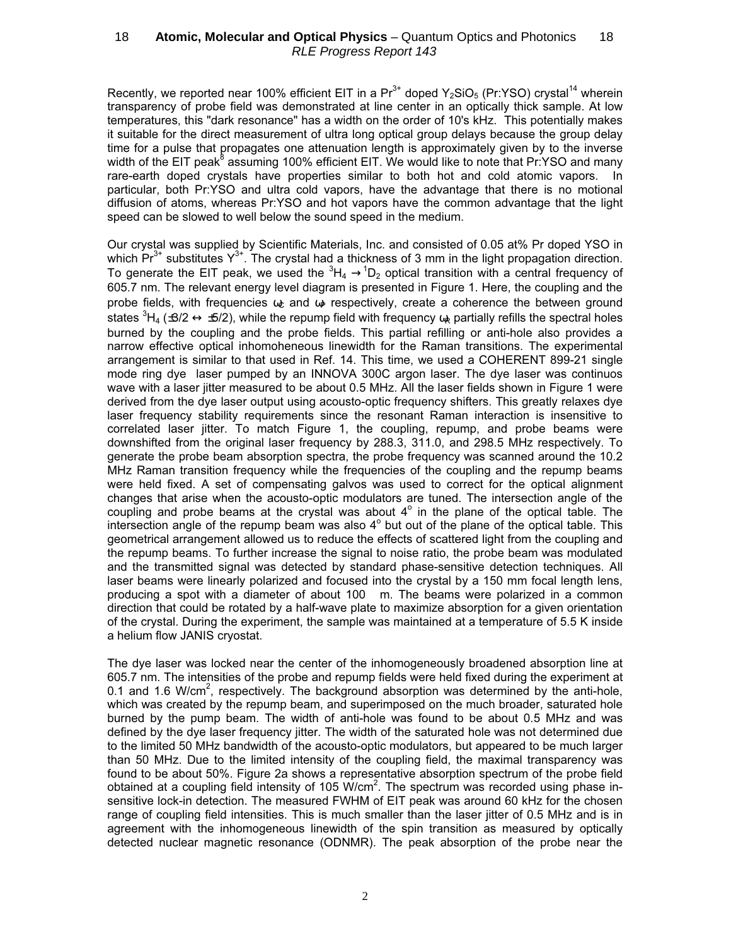Recently, we reported near 100% efficient EIT in a  $Pr^{3+}$  doped Y<sub>2</sub>SiO<sub>5</sub> (Pr:YSO) crystal<sup>14</sup> wherein transparency of probe field was demonstrated at line center in an optically thick sample. At low temperatures, this "dark resonance" has a width on the order of 10's kHz. This potentially makes it suitable for the direct measurement of ultra long optical group delays because the group delay time for a pulse that propagates one attenuation length is approximately given by to the inverse width of the EIT peak<sup>8</sup> assuming 100% efficient EIT. We would like to note that Pr:YSO and many rare-earth doped crystals have properties similar to both hot and cold atomic vapors. In particular, both Pr:YSO and ultra cold vapors, have the advantage that there is no motional diffusion of atoms, whereas Pr:YSO and hot vapors have the common advantage that the light speed can be slowed to well below the sound speed in the medium.

Our crystal was supplied by Scientific Materials, Inc. and consisted of 0.05 at% Pr doped YSO in which  $Pr^{3+}$  substitutes  $Y^{3+}$ . The crystal had a thickness of 3 mm in the light propagation direction. To generate the EIT peak, we used the  ${}^{3}H_4 \rightarrow {}^{1}D_2$  optical transition with a central frequency of 605.7 nm. The relevant energy level diagram is presented in Figure 1. Here, the coupling and the probe fields, with frequencies  $\omega_c$  and  $\omega_p$  respectively, create a coherence the between ground states  ${}^{3}$ H<sub>4</sub> (±3/2  $\leftrightarrow$  ±5/2), while the repump field with frequency  $\alpha_{\rm R}$  partially refills the spectral holes burned by the coupling and the probe fields. This partial refilling or anti-hole also provides a narrow effective optical inhomoheneous linewidth for the Raman transitions. The experimental arrangement is similar to that used in Ref. 14. This time, we used a COHERENT 899-21 single mode ring dye laser pumped by an INNOVA 300C argon laser. The dye laser was continuos wave with a laser jitter measured to be about 0.5 MHz. All the laser fields shown in Figure 1 were derived from the dye laser output using acousto-optic frequency shifters. This greatly relaxes dye laser frequency stability requirements since the resonant Raman interaction is insensitive to correlated laser jitter. To match Figure 1, the coupling, repump, and probe beams were downshifted from the original laser frequency by 288.3, 311.0, and 298.5 MHz respectively. To generate the probe beam absorption spectra, the probe frequency was scanned around the 10.2 MHz Raman transition frequency while the frequencies of the coupling and the repump beams were held fixed. A set of compensating galvos was used to correct for the optical alignment changes that arise when the acousto-optic modulators are tuned. The intersection angle of the coupling and probe beams at the crystal was about  $4^\circ$  in the plane of the optical table. The intersection angle of the repump beam was also  $4^{\circ}$  but out of the plane of the optical table. This geometrical arrangement allowed us to reduce the effects of scattered light from the coupling and the repump beams. To further increase the signal to noise ratio, the probe beam was modulated and the transmitted signal was detected by standard phase-sensitive detection techniques. All laser beams were linearly polarized and focused into the crystal by a 150 mm focal length lens, producing a spot with a diameter of about 100 m. The beams were polarized in a common direction that could be rotated by a half-wave plate to maximize absorption for a given orientation of the crystal. During the experiment, the sample was maintained at a temperature of 5.5 K inside a helium flow JANIS cryostat.

The dye laser was locked near the center of the inhomogeneously broadened absorption line at 605.7 nm. The intensities of the probe and repump fields were held fixed during the experiment at 0.1 and 1.6 W/cm<sup>2</sup>, respectively. The background absorption was determined by the anti-hole, which was created by the repump beam, and superimposed on the much broader, saturated hole burned by the pump beam. The width of anti-hole was found to be about 0.5 MHz and was defined by the dye laser frequency jitter. The width of the saturated hole was not determined due to the limited 50 MHz bandwidth of the acousto-optic modulators, but appeared to be much larger than 50 MHz. Due to the limited intensity of the coupling field, the maximal transparency was found to be about 50%. Figure 2a shows a representative absorption spectrum of the probe field obtained at a coupling field intensity of 105 W/cm<sup>2</sup>. The spectrum was recorded using phase insensitive lock-in detection. The measured FWHM of EIT peak was around 60 kHz for the chosen range of coupling field intensities. This is much smaller than the laser jitter of 0.5 MHz and is in agreement with the inhomogeneous linewidth of the spin transition as measured by optically detected nuclear magnetic resonance (ODNMR). The peak absorption of the probe near the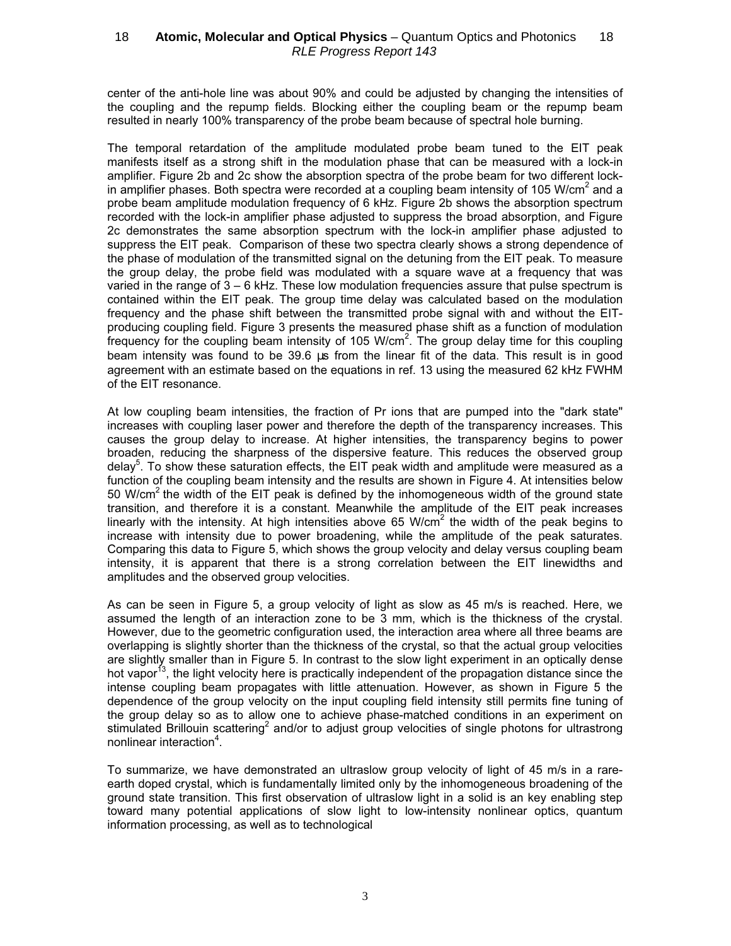center of the anti-hole line was about 90% and could be adjusted by changing the intensities of the coupling and the repump fields. Blocking either the coupling beam or the repump beam resulted in nearly 100% transparency of the probe beam because of spectral hole burning.

The temporal retardation of the amplitude modulated probe beam tuned to the EIT peak manifests itself as a strong shift in the modulation phase that can be measured with a lock-in amplifier. Figure 2b and 2c show the absorption spectra of the probe beam for two different lockin amplifier phases. Both spectra were recorded at a coupling beam intensity of 105 W/cm<sup>2</sup> and a probe beam amplitude modulation frequency of 6 kHz. Figure 2b shows the absorption spectrum recorded with the lock-in amplifier phase adjusted to suppress the broad absorption, and Figure 2c demonstrates the same absorption spectrum with the lock-in amplifier phase adjusted to suppress the EIT peak. Comparison of these two spectra clearly shows a strong dependence of the phase of modulation of the transmitted signal on the detuning from the EIT peak. To measure the group delay, the probe field was modulated with a square wave at a frequency that was varied in the range of 3 – 6 kHz. These low modulation frequencies assure that pulse spectrum is contained within the EIT peak. The group time delay was calculated based on the modulation frequency and the phase shift between the transmitted probe signal with and without the EITproducing coupling field. Figure 3 presents the measured phase shift as a function of modulation frequency for the coupling beam intensity of 105 W/cm<sup>2</sup>. The group delay time for this coupling beam intensity was found to be 39.6 µs from the linear fit of the data. This result is in good agreement with an estimate based on the equations in ref. 13 using the measured 62 kHz FWHM of the EIT resonance.

At low coupling beam intensities, the fraction of Pr ions that are pumped into the "dark state" increases with coupling laser power and therefore the depth of the transparency increases. This causes the group delay to increase. At higher intensities, the transparency begins to power broaden, reducing the sharpness of the dispersive feature. This reduces the observed group delay<sup>5</sup>. To show these saturation effects, the EIT peak width and amplitude were measured as a function of the coupling beam intensity and the results are shown in Figure 4. At intensities below 50 W/cm<sup>2</sup> the width of the EIT peak is defined by the inhomogeneous width of the ground state transition, and therefore it is a constant. Meanwhile the amplitude of the EIT peak increases linearly with the intensity. At high intensities above 65 W/cm<sup>2</sup> the width of the peak begins to increase with intensity due to power broadening, while the amplitude of the peak saturates. Comparing this data to Figure 5, which shows the group velocity and delay versus coupling beam intensity, it is apparent that there is a strong correlation between the EIT linewidths and amplitudes and the observed group velocities.

As can be seen in Figure 5, a group velocity of light as slow as 45 m/s is reached. Here, we assumed the length of an interaction zone to be 3 mm, which is the thickness of the crystal. However, due to the geometric configuration used, the interaction area where all three beams are overlapping is slightly shorter than the thickness of the crystal, so that the actual group velocities are slightly smaller than in Figure 5. In contrast to the slow light experiment in an optically dense hot vapor<sup>13</sup>, the light velocity here is practically independent of the propagation distance since the intense coupling beam propagates with little attenuation. However, as shown in Figure 5 the dependence of the group velocity on the input coupling field intensity still permits fine tuning of the group delay so as to allow one to achieve phase-matched conditions in an experiment on stimulated Brillouin scattering<sup>2</sup> and/or to adjust group velocities of single photons for ultrastrong nonlinear interaction<sup>4</sup>.

To summarize, we have demonstrated an ultraslow group velocity of light of 45 m/s in a rareearth doped crystal, which is fundamentally limited only by the inhomogeneous broadening of the ground state transition. This first observation of ultraslow light in a solid is an key enabling step toward many potential applications of slow light to low-intensity nonlinear optics, quantum information processing, as well as to technological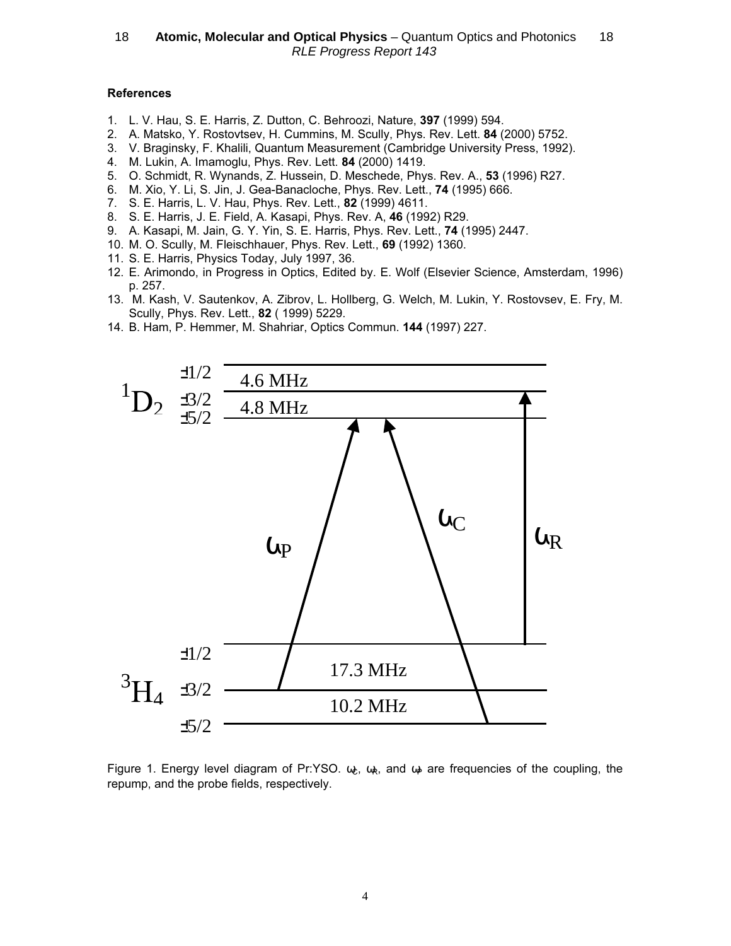### References

- 1. L. V. Hau, S. E. Harris, Z. Dutton, C. Behroozi, Nature, 397 (1999) 594.
- 2. A. Matsko, Y. Rostovtsev, H. Cummins, M. Scully, Phys. Rev. Lett. 84 (2000) 5752.
- 3. V. Braginsky, F. Khalili, Quantum Measurement (Cambridge University Press, 1992).
- 4. M. Lukin, A. Imamoglu, Phys. Rev. Lett. 84 (2000) 1419.
- 5. O. Schmidt, R. Wynands, Z. Hussein, D. Meschede, Phys. Rev. A., 53 (1996) R27.
- 6. M. Xio, Y. Li, S. Jin, J. Gea-Banacloche, Phys. Rev. Lett., 74 (1995) 666.
- 7. S. E. Harris, L. V. Hau, Phys. Rev. Lett., 82 (1999) 4611.
- 8. S. E. Harris, J. E. Field, A. Kasapi, Phys. Rev. A, 46 (1992) R29.
- 9. A. Kasapi, M. Jain, G. Y. Yin, S. E. Harris, Phys. Rev. Lett., 74 (1995) 2447.
- 10. M. O. Scully, M. Fleischhauer, Phys. Rev. Lett., 69 (1992) 1360.
- 11. S. E. Harris, Physics Today, July 1997, 36.
- 12. E. Arimondo, in Progress in Optics, Edited by. E. Wolf (Elsevier Science, Amsterdam, 1996) p. 257.
- 13. M. Kash, V. Sautenkov, A. Zibrov, L. Hollberg, G. Welch, M. Lukin, Y. Rostovsev, E. Fry, M. Scully, Phys. Rev. Lett., 82 ( 1999) 5229.
- 14. B. Ham, P. Hemmer, M. Shahriar, Optics Commun. 144 (1997) 227.



Figure 1. Energy level diagram of Pr:YSO.  $\omega_c$ ,  $\omega_R$ , and  $\omega_P$  are frequencies of the coupling, the repump, and the probe fields, respectively.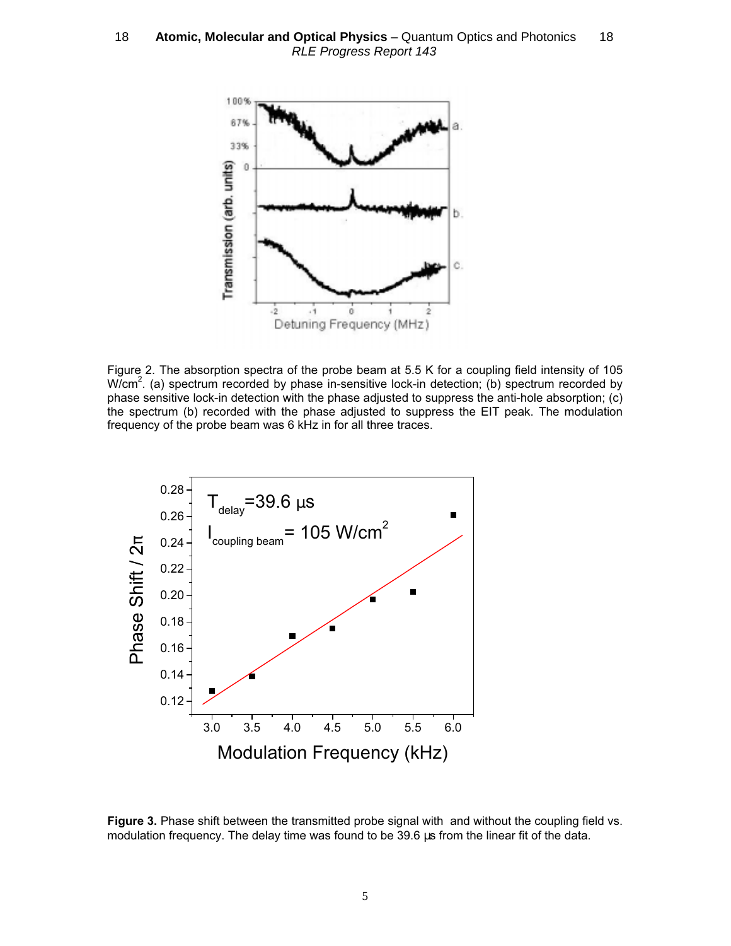

Figure 2. The absorption spectra of the probe beam at 5.5 K for a coupling field intensity of 105 W/cm<sup>2</sup>. (a) spectrum recorded by phase in-sensitive lock-in detection; (b) spectrum recorded by phase sensitive lock-in detection with the phase adjusted to suppress the anti-hole absorption; (c) the spectrum (b) recorded with the phase adjusted to suppress the EIT peak. The modulation frequency of the probe beam was 6 kHz in for all three traces.



Figure 3. Phase shift between the transmitted probe signal with and without the coupling field vs. modulation frequency. The delay time was found to be 39.6 us from the linear fit of the data.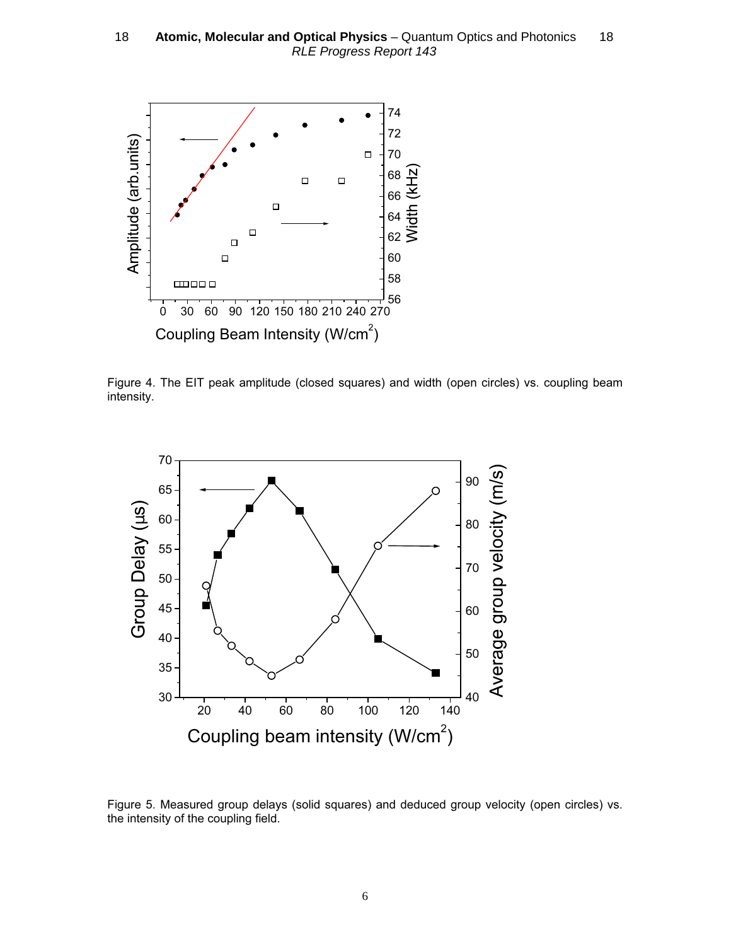

Figure 4. The EIT peak amplitude (closed squares) and width (open circles) vs. coupling beam intensity.



Figure 5. Measured group delays (solid squares) and deduced group velocity (open circles) vs. the intensity of the coupling field.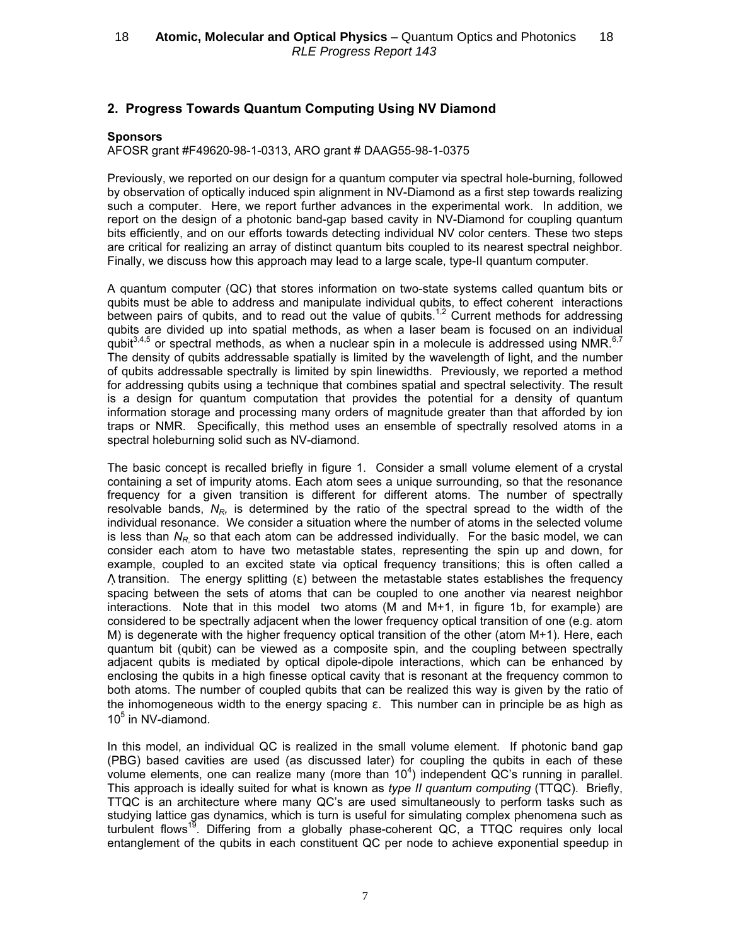# 2. Progress Towards Quantum Computing Using NV Diamond

### **Sponsors**

AFOSR grant #F49620-98-1-0313, ARO grant # DAAG55-98-1-0375

Previously, we reported on our design for a quantum computer via spectral hole-burning, followed by observation of optically induced spin alignment in NV-Diamond as a first step towards realizing such a computer. Here, we report further advances in the experimental work. In addition, we report on the design of a photonic band-gap based cavity in NV-Diamond for coupling quantum bits efficiently, and on our efforts towards detecting individual NV color centers. These two steps are critical for realizing an array of distinct quantum bits coupled to its nearest spectral neighbor. Finally, we discuss how this approach may lead to a large scale, type-II quantum computer.

A quantum computer (QC) that stores information on two-state systems called quantum bits or qubits must be able to address and manipulate individual qubits, to effect coherent interactions between pairs of qubits, and to read out the value of qubits.<sup>1,2</sup> Current methods for addressing qubits are divided up into spatial methods, as when a laser beam is focused on an individual qubit<sup>3,4,5</sup> or spectral methods, as when a nuclear spin in a molecule is addressed using NMR.<sup>6,7</sup> The density of qubits addressable spatially is limited by the wavelength of light, and the number of qubits addressable spectrally is limited by spin linewidths. Previously, we reported a method for addressing qubits using a technique that combines spatial and spectral selectivity. The result is a design for quantum computation that provides the potential for a density of quantum information storage and processing many orders of magnitude greater than that afforded by ion traps or NMR. Specifically, this method uses an ensemble of spectrally resolved atoms in a spectral holeburning solid such as NV-diamond.

The basic concept is recalled briefly in figure 1. Consider a small volume element of a crystal containing a set of impurity atoms. Each atom sees a unique surrounding, so that the resonance frequency for a given transition is different for different atoms. The number of spectrally resolvable bands,  $N_{R}$ , is determined by the ratio of the spectral spread to the width of the individual resonance. We consider a situation where the number of atoms in the selected volume is less than  $N_R$  so that each atom can be addressed individually. For the basic model, we can consider each atom to have two metastable states, representing the spin up and down, for example, coupled to an excited state via optical frequency transitions; this is often called a  $\Lambda$  transition. The energy splitting (ε) between the metastable states establishes the frequency spacing between the sets of atoms that can be coupled to one another via nearest neighbor interactions. Note that in this model two atoms (M and M+1, in figure 1b, for example) are considered to be spectrally adjacent when the lower frequency optical transition of one (e.g. atom M) is degenerate with the higher frequency optical transition of the other (atom M+1). Here, each quantum bit (qubit) can be viewed as a composite spin, and the coupling between spectrally adjacent qubits is mediated by optical dipole-dipole interactions, which can be enhanced by enclosing the qubits in a high finesse optical cavity that is resonant at the frequency common to both atoms. The number of coupled qubits that can be realized this way is given by the ratio of the inhomogeneous width to the energy spacing  $\varepsilon$ . This number can in principle be as high as 10<sup>5</sup> in NV-diamond.

In this model, an individual QC is realized in the small volume element. If photonic band gap (PBG) based cavities are used (as discussed later) for coupling the qubits in each of these volume elements, one can realize many (more than  $10^4$ ) independent QC's running in parallel. This approach is ideally suited for what is known as type II quantum computing (TTQC). Briefly, TTQC is an architecture where many QC's are used simultaneously to perform tasks such as studying lattice gas dynamics, which is turn is useful for simulating complex phenomena such as turbulent flows<sup>19</sup>. Differing from a globally phase-coherent QC, a TTQC requires only local entanglement of the qubits in each constituent QC per node to achieve exponential speedup in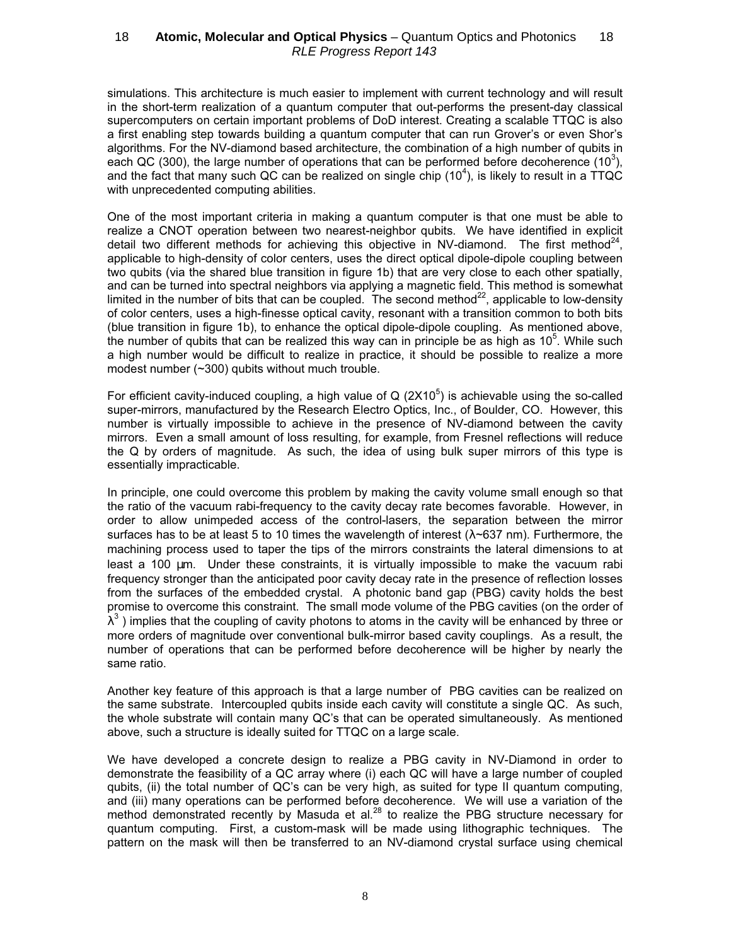simulations. This architecture is much easier to implement with current technology and will result in the short-term realization of a quantum computer that out-performs the present-day classical supercomputers on certain important problems of DoD interest. Creating a scalable TTQC is also a first enabling step towards building a quantum computer that can run Grover's or even Shor's algorithms. For the NV-diamond based architecture, the combination of a high number of qubits in each QC (300), the large number of operations that can be performed before decoherence (10<sup>3</sup>), and the fact that many such QC can be realized on single chip (10<sup>4</sup>), is likely to result in a TTQC with unprecedented computing abilities.

One of the most important criteria in making a quantum computer is that one must be able to realize a CNOT operation between two nearest-neighbor qubits. We have identified in explicit detail two different methods for achieving this objective in NV-diamond. The first method<sup>24</sup>, applicable to high-density of color centers, uses the direct optical dipole-dipole coupling between two qubits (via the shared blue transition in figure 1b) that are very close to each other spatially, and can be turned into spectral neighbors via applying a magnetic field. This method is somewhat limited in the number of bits that can be coupled. The second method<sup>22</sup>, applicable to low-density of color centers, uses a high-finesse optical cavity, resonant with a transition common to both bits (blue transition in figure 1b), to enhance the optical dipole-dipole coupling. As mentioned above, the number of qubits that can be realized this way can in principle be as high as  $10<sup>5</sup>$ . While such a high number would be difficult to realize in practice, it should be possible to realize a more modest number (~300) qubits without much trouble.

For efficient cavity-induced coupling, a high value of Q (2X10<sup>5</sup>) is achievable using the so-called super-mirrors, manufactured by the Research Electro Optics, Inc., of Boulder, CO. However, this number is virtually impossible to achieve in the presence of NV-diamond between the cavity mirrors. Even a small amount of loss resulting, for example, from Fresnel reflections will reduce the Q by orders of magnitude. As such, the idea of using bulk super mirrors of this type is essentially impracticable.

In principle, one could overcome this problem by making the cavity volume small enough so that the ratio of the vacuum rabi-frequency to the cavity decay rate becomes favorable. However, in order to allow unimpeded access of the control-lasers, the separation between the mirror surfaces has to be at least 5 to 10 times the wavelength of interest  $(\lambda \sim 637 \text{ nm})$ . Furthermore, the machining process used to taper the tips of the mirrors constraints the lateral dimensions to at least a 100 µm. Under these constraints, it is virtually impossible to make the vacuum rabi frequency stronger than the anticipated poor cavity decay rate in the presence of reflection losses from the surfaces of the embedded crystal. A photonic band gap (PBG) cavity holds the best promise to overcome this constraint. The small mode volume of the PBG cavities (on the order of  $\lambda^3$  ) implies that the coupling of cavity photons to atoms in the cavity will be enhanced by three or more orders of magnitude over conventional bulk-mirror based cavity couplings. As a result, the number of operations that can be performed before decoherence will be higher by nearly the same ratio.

Another key feature of this approach is that a large number of PBG cavities can be realized on the same substrate. Intercoupled qubits inside each cavity will constitute a single QC. As such, the whole substrate will contain many QC's that can be operated simultaneously. As mentioned above, such a structure is ideally suited for TTQC on a large scale.

We have developed a concrete design to realize a PBG cavity in NV-Diamond in order to demonstrate the feasibility of a QC array where (i) each QC will have a large number of coupled qubits, (ii) the total number of QC's can be very high, as suited for type II quantum computing, and (iii) many operations can be performed before decoherence. We will use a variation of the method demonstrated recently by Masuda et al.<sup>28</sup> to realize the PBG structure necessary for quantum computing. First, a custom-mask will be made using lithographic techniques. The pattern on the mask will then be transferred to an NV-diamond crystal surface using chemical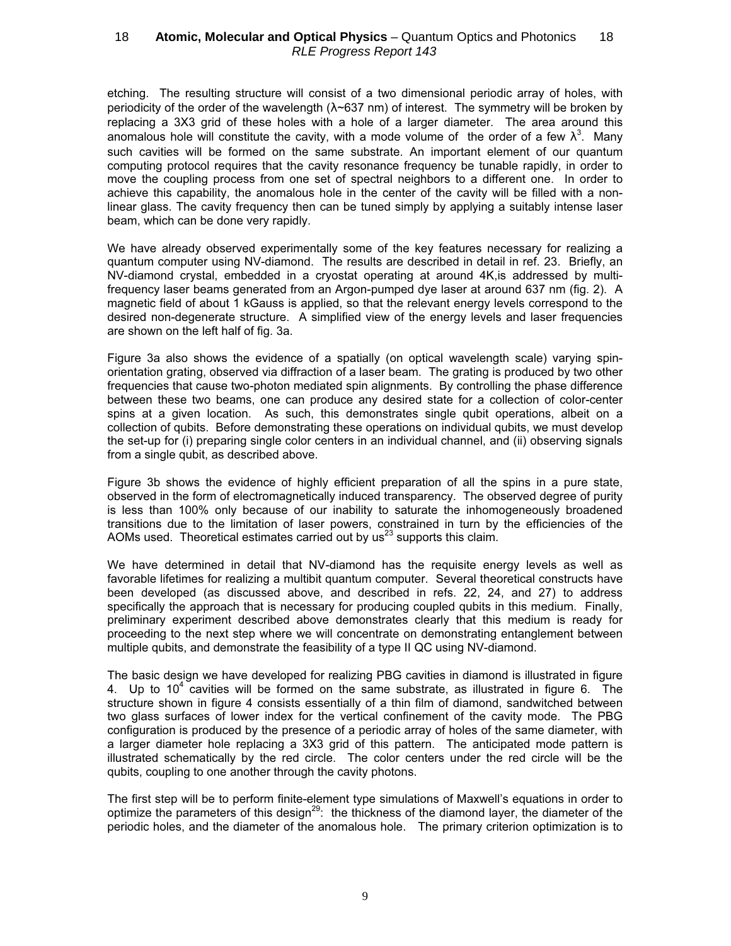etching. The resulting structure will consist of a two dimensional periodic array of holes, with periodicity of the order of the wavelength  $(\lambda \sim 637 \text{ nm})$  of interest. The symmetry will be broken by replacing a 3X3 grid of these holes with a hole of a larger diameter. The area around this anomalous hole will constitute the cavity, with a mode volume of the order of a few  $\lambda^3$ . Many such cavities will be formed on the same substrate. An important element of our quantum computing protocol requires that the cavity resonance frequency be tunable rapidly, in order to move the coupling process from one set of spectral neighbors to a different one. In order to achieve this capability, the anomalous hole in the center of the cavity will be filled with a nonlinear glass. The cavity frequency then can be tuned simply by applying a suitably intense laser beam, which can be done very rapidly.

We have already observed experimentally some of the key features necessary for realizing a quantum computer using NV-diamond. The results are described in detail in ref. 23. Briefly, an NV-diamond crystal, embedded in a cryostat operating at around 4K,is addressed by multifrequency laser beams generated from an Argon-pumped dye laser at around 637 nm (fig. 2). A magnetic field of about 1 kGauss is applied, so that the relevant energy levels correspond to the desired non-degenerate structure. A simplified view of the energy levels and laser frequencies are shown on the left half of fig. 3a.

Figure 3a also shows the evidence of a spatially (on optical wavelength scale) varying spinorientation grating, observed via diffraction of a laser beam. The grating is produced by two other frequencies that cause two-photon mediated spin alignments. By controlling the phase difference between these two beams, one can produce any desired state for a collection of color-center spins at a given location. As such, this demonstrates single qubit operations, albeit on a collection of qubits. Before demonstrating these operations on individual qubits, we must develop the set-up for (i) preparing single color centers in an individual channel, and (ii) observing signals from a single qubit, as described above.

Figure 3b shows the evidence of highly efficient preparation of all the spins in a pure state, observed in the form of electromagnetically induced transparency. The observed degree of purity is less than 100% only because of our inability to saturate the inhomogeneously broadened transitions due to the limitation of laser powers, constrained in turn by the efficiencies of the AOMs used. Theoretical estimates carried out by us<sup>23</sup> supports this claim.

We have determined in detail that NV-diamond has the requisite energy levels as well as favorable lifetimes for realizing a multibit quantum computer. Several theoretical constructs have been developed (as discussed above, and described in refs. 22, 24, and 27) to address specifically the approach that is necessary for producing coupled qubits in this medium. Finally, preliminary experiment described above demonstrates clearly that this medium is ready for proceeding to the next step where we will concentrate on demonstrating entanglement between multiple qubits, and demonstrate the feasibility of a type II QC using NV-diamond.

The basic design we have developed for realizing PBG cavities in diamond is illustrated in figure 4. Up to 10<sup>4</sup> cavities will be formed on the same substrate, as illustrated in figure 6. The structure shown in figure 4 consists essentially of a thin film of diamond, sandwitched between two glass surfaces of lower index for the vertical confinement of the cavity mode. The PBG configuration is produced by the presence of a periodic array of holes of the same diameter, with a larger diameter hole replacing a 3X3 grid of this pattern. The anticipated mode pattern is illustrated schematically by the red circle. The color centers under the red circle will be the qubits, coupling to one another through the cavity photons.

The first step will be to perform finite-element type simulations of Maxwell's equations in order to optimize the parameters of this design<sup>29</sup>: the thickness of the diamond layer, the diameter of the periodic holes, and the diameter of the anomalous hole. The primary criterion optimization is to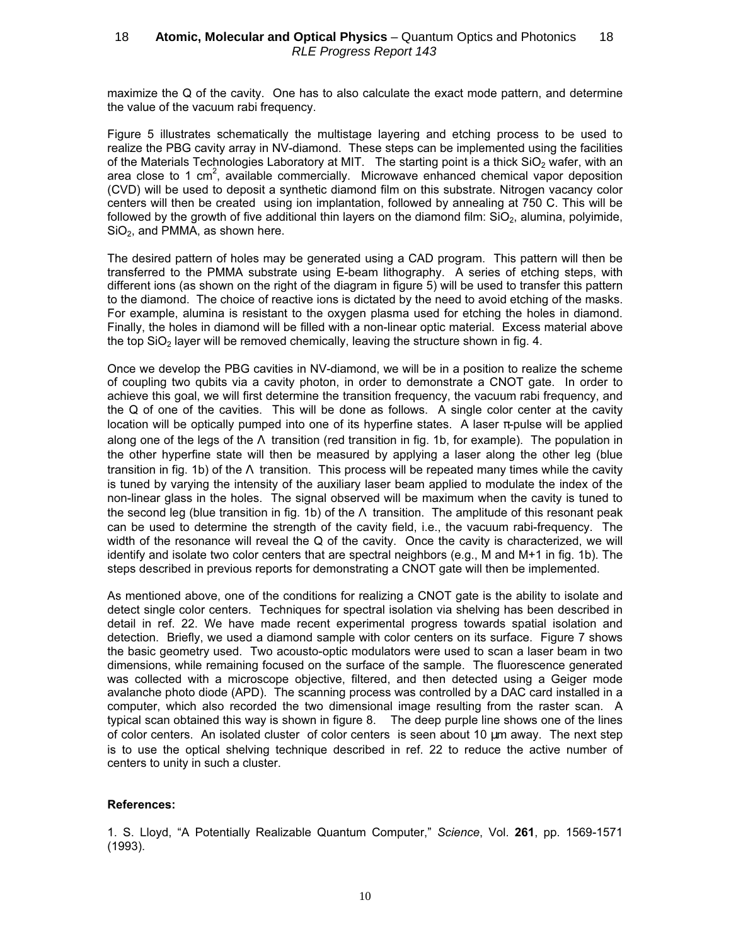maximize the Q of the cavity. One has to also calculate the exact mode pattern, and determine the value of the vacuum rabi frequency.

Figure 5 illustrates schematically the multistage layering and etching process to be used to realize the PBG cavity array in NV-diamond. These steps can be implemented using the facilities of the Materials Technologies Laboratory at MIT. The starting point is a thick  $SiO<sub>2</sub>$  wafer, with an area close to 1 cm<sup>2</sup>, available commercially. Microwave enhanced chemical vapor deposition (CVD) will be used to deposit a synthetic diamond film on this substrate. Nitrogen vacancy color centers will then be created using ion implantation, followed by annealing at 750 C. This will be followed by the growth of five additional thin layers on the diamond film:  $SiO<sub>2</sub>$ , alumina, polyimide,  $SiO<sub>2</sub>$ , and PMMA, as shown here.

The desired pattern of holes may be generated using a CAD program. This pattern will then be transferred to the PMMA substrate using E-beam lithography. A series of etching steps, with different ions (as shown on the right of the diagram in figure 5) will be used to transfer this pattern to the diamond. The choice of reactive ions is dictated by the need to avoid etching of the masks. For example, alumina is resistant to the oxygen plasma used for etching the holes in diamond. Finally, the holes in diamond will be filled with a non-linear optic material. Excess material above the top  $SiO<sub>2</sub>$  layer will be removed chemically, leaving the structure shown in fig. 4.

Once we develop the PBG cavities in NV-diamond, we will be in a position to realize the scheme of coupling two qubits via a cavity photon, in order to demonstrate a CNOT gate. In order to achieve this goal, we will first determine the transition frequency, the vacuum rabi frequency, and the Q of one of the cavities. This will be done as follows. A single color center at the cavity location will be optically pumped into one of its hyperfine states. A laser π-pulse will be applied along one of the legs of the Λ transition (red transition in fig. 1b, for example). The population in the other hyperfine state will then be measured by applying a laser along the other leg (blue transition in fig. 1b) of the  $\Lambda$  transition. This process will be repeated many times while the cavity is tuned by varying the intensity of the auxiliary laser beam applied to modulate the index of the non-linear glass in the holes. The signal observed will be maximum when the cavity is tuned to the second leg (blue transition in fig. 1b) of the Λ transition. The amplitude of this resonant peak can be used to determine the strength of the cavity field, i.e., the vacuum rabi-frequency. The width of the resonance will reveal the Q of the cavity. Once the cavity is characterized, we will identify and isolate two color centers that are spectral neighbors (e.g., M and M+1 in fig. 1b). The steps described in previous reports for demonstrating a CNOT gate will then be implemented.

As mentioned above, one of the conditions for realizing a CNOT gate is the ability to isolate and detect single color centers. Techniques for spectral isolation via shelving has been described in detail in ref. 22. We have made recent experimental progress towards spatial isolation and detection. Briefly, we used a diamond sample with color centers on its surface. Figure 7 shows the basic geometry used. Two acousto-optic modulators were used to scan a laser beam in two dimensions, while remaining focused on the surface of the sample. The fluorescence generated was collected with a microscope objective, filtered, and then detected using a Geiger mode avalanche photo diode (APD). The scanning process was controlled by a DAC card installed in a computer, which also recorded the two dimensional image resulting from the raster scan. A typical scan obtained this way is shown in figure 8. The deep purple line shows one of the lines of color centers. An isolated cluster of color centers is seen about 10 µm away. The next step is to use the optical shelving technique described in ref. 22 to reduce the active number of centers to unity in such a cluster.

### References:

1. S. Lloyd, "A Potentially Realizable Quantum Computer," Science, Vol. 261, pp. 1569-1571 (1993).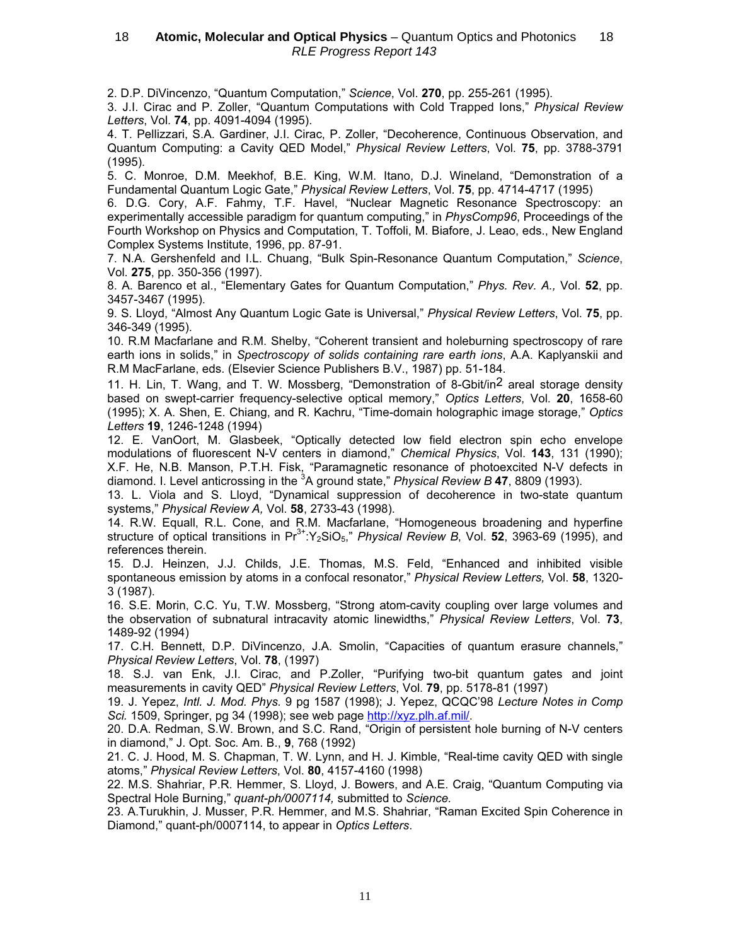2. D.P. DiVincenzo, "Quantum Computation," Science, Vol. 270, pp. 255-261 (1995).

3. J.I. Cirac and P. Zoller, "Quantum Computations with Cold Trapped Ions," Physical Review Letters, Vol. 74, pp. 4091-4094 (1995).

4. T. Pellizzari, S.A. Gardiner, J.I. Cirac, P. Zoller, "Decoherence, Continuous Observation, and Quantum Computing: a Cavity QED Model," Physical Review Letters, Vol. 75, pp. 3788-3791 (1995).

5. C. Monroe, D.M. Meekhof, B.E. King, W.M. Itano, D.J. Wineland, "Demonstration of a Fundamental Quantum Logic Gate," Physical Review Letters, Vol. 75, pp. 4714-4717 (1995)

6. D.G. Cory, A.F. Fahmy, T.F. Havel, "Nuclear Magnetic Resonance Spectroscopy: an experimentally accessible paradigm for quantum computing," in PhysComp96, Proceedings of the Fourth Workshop on Physics and Computation, T. Toffoli, M. Biafore, J. Leao, eds., New England Complex Systems Institute, 1996, pp. 87-91.

7. N.A. Gershenfeld and I.L. Chuang, "Bulk Spin-Resonance Quantum Computation," Science, Vol. 275, pp. 350-356 (1997).

8. A. Barenco et al., "Elementary Gates for Quantum Computation," Phys. Rev. A., Vol. 52, pp. 3457-3467 (1995).

9. S. Lloyd, "Almost Any Quantum Logic Gate is Universal," Physical Review Letters, Vol. 75, pp. 346-349 (1995).

10. R.M Macfarlane and R.M. Shelby, "Coherent transient and holeburning spectroscopy of rare earth ions in solids," in Spectroscopy of solids containing rare earth ions, A.A. Kaplyanskii and R.M MacFarlane, eds. (Elsevier Science Publishers B.V., 1987) pp. 51-184.

11. H. Lin, T. Wang, and T. W. Mossberg, "Demonstration of 8-Gbit/in2 areal storage density based on swept-carrier frequency-selective optical memory," Optics Letters, Vol. 20, 1658-60 (1995); X. A. Shen, E. Chiang, and R. Kachru, "Time-domain holographic image storage," Optics Letters 19, 1246-1248 (1994)

12. E. VanOort, M. Glasbeek, "Optically detected low field electron spin echo envelope modulations of fluorescent N-V centers in diamond," Chemical Physics, Vol. 143, 131 (1990); X.F. He, N.B. Manson, P.T.H. Fisk, "Paramagnetic resonance of photoexcited N-V defects in diamond. I. Level anticrossing in the  ${}^{3}$ A ground state," Physical Review B 47, 8809 (1993).

13. L. Viola and S. Lloyd, "Dynamical suppression of decoherence in two-state quantum systems," Physical Review A, Vol. 58, 2733-43 (1998).

14. R.W. Equall, R.L. Cone, and R.M. Macfarlane, "Homogeneous broadening and hyperfine structure of optical transitions in  $Pr<sup>3+</sup>:Y<sub>2</sub>SiO<sub>5</sub>$ ," Physical Review B, Vol. 52, 3963-69 (1995), and references therein.

15. D.J. Heinzen, J.J. Childs, J.E. Thomas, M.S. Feld, "Enhanced and inhibited visible spontaneous emission by atoms in a confocal resonator," Physical Review Letters, Vol. 58, 1320-3 (1987).

16. S.E. Morin, C.C. Yu, T.W. Mossberg, "Strong atom-cavity coupling over large volumes and the observation of subnatural intracavity atomic linewidths," Physical Review Letters, Vol. 73, 1489-92 (1994)

17. C.H. Bennett, D.P. DiVincenzo, J.A. Smolin, "Capacities of quantum erasure channels," Physical Review Letters, Vol. 78, (1997)

18. S.J. van Enk, J.I. Cirac, and P.Zoller, "Purifying two-bit quantum gates and joint measurements in cavity QED" Physical Review Letters, Vol. 79, pp. 5178-81 (1997)

19. J. Yepez, Intl. J. Mod. Phys. 9 pg 1587 (1998); J. Yepez, QCQC'98 Lecture Notes in Comp Sci. 1509, Springer, pg 34 (1998); see web page http://xyz.plh.af.mil/.

20. D.A. Redman, S.W. Brown, and S.C. Rand, "Origin of persistent hole burning of N-V centers in diamond," J. Opt. Soc. Am. B., 9, 768 (1992)

21. C. J. Hood, M. S. Chapman, T. W. Lynn, and H. J. Kimble, "Real-time cavity QED with single atoms," Physical Review Letters, Vol. 80, 4157-4160 (1998)

22. M.S. Shahriar, P.R. Hemmer, S. Lloyd, J. Bowers, and A.E. Craig, "Quantum Computing via Spectral Hole Burning," quant-ph/0007114, submitted to Science.

23. A.Turukhin, J. Musser, P.R. Hemmer, and M.S. Shahriar, "Raman Excited Spin Coherence in Diamond," quant-ph/0007114, to appear in Optics Letters.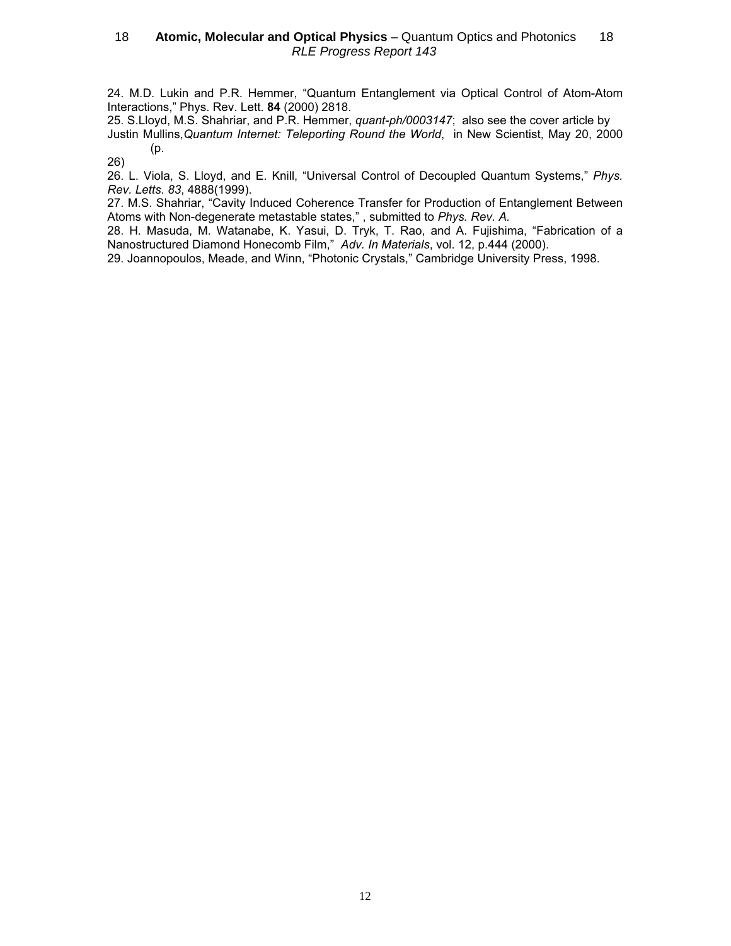24. M.D. Lukin and P.R. Hemmer, "Quantum Entanglement via Optical Control of Atom-Atom Interactions," Phys. Rev. Lett. 84 (2000) 2818.

25. S.Lloyd, M.S. Shahriar, and P.R. Hemmer, quant-ph/0003147; also see the cover article by Justin Mullins, Quantum Internet: Teleporting Round the World, in New Scientist, May 20, 2000 (p.

26)

26. L. Viola, S. Lloyd, and E. Knill, "Universal Control of Decoupled Quantum Systems," Phys. Rev. Letts. 83, 4888(1999).

27. M.S. Shahriar, "Cavity Induced Coherence Transfer for Production of Entanglement Between Atoms with Non-degenerate metastable states," , submitted to Phys. Rev. A.

28. H. Masuda, M. Watanabe, K. Yasui, D. Tryk, T. Rao, and A. Fujishima, "Fabrication of a Nanostructured Diamond Honecomb Film," Adv. In Materials, vol. 12, p.444 (2000).

29. Joannopoulos, Meade, and Winn, "Photonic Crystals," Cambridge University Press, 1998.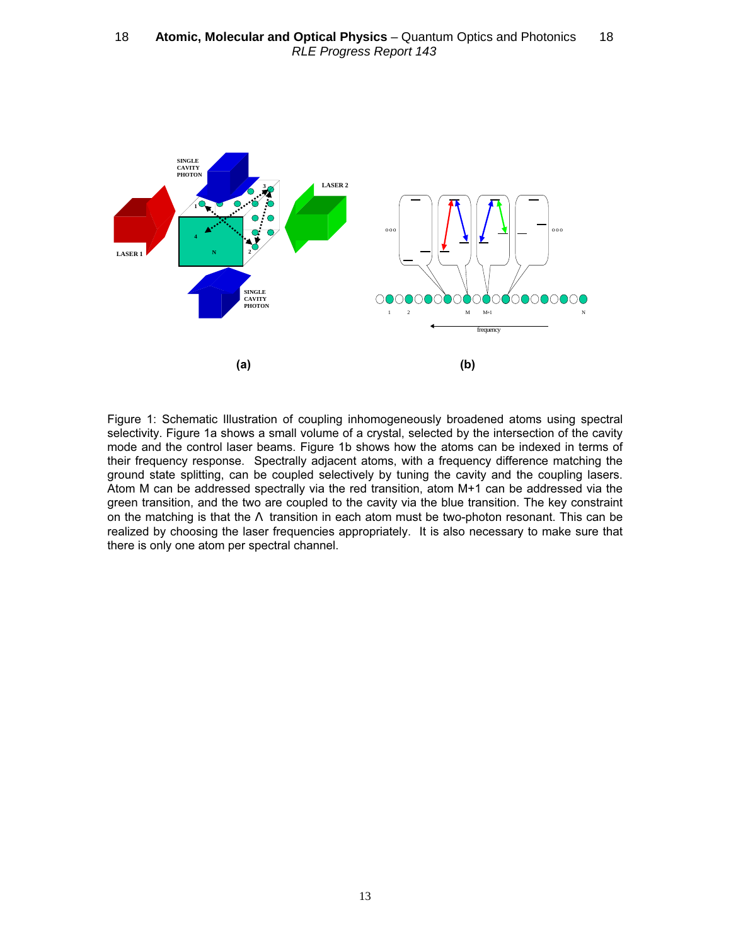

Figure 1: Schematic Illustration of coupling inhomogeneously broadened atoms using spectral selectivity. Figure 1a shows a small volume of a crystal, selected by the intersection of the cavity mode and the control laser beams. Figure 1b shows how the atoms can be indexed in terms of their frequency response. Spectrally adjacent atoms, with a frequency difference matching the ground state splitting, can be coupled selectively by tuning the cavity and the coupling lasers. Atom M can be addressed spectrally via the red transition, atom M+1 can be addressed via the green transition, and the two are coupled to the cavity via the blue transition. The key constraint on the matching is that the  $\Lambda$  transition in each atom must be two-photon resonant. This can be realized by choosing the laser frequencies appropriately. It is also necessary to make sure that there is only one atom per spectral channel.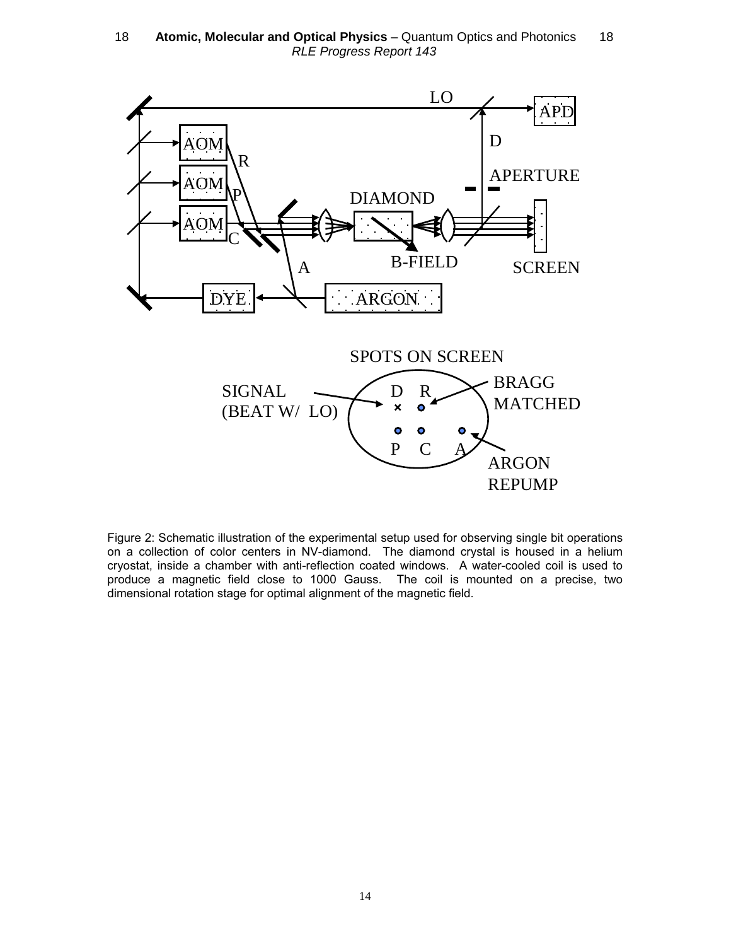18 **- Atomic, Molecular and Optical Physics** - Quantum Optics and Photonics - 18 RLE Progress Report 143



Figure 2: Schematic illustration of the experimental setup used for observing single bit operations on a collection of color centers in NV-diamond. The diamond crystal is housed in a helium cryostat, inside a chamber with anti-reflection coated windows. A water-cooled coil is used to produce a magnetic field close to 1000 Gauss. The coil is mounted on a precise, two dimensional rotation stage for optimal alignment of the magnetic field.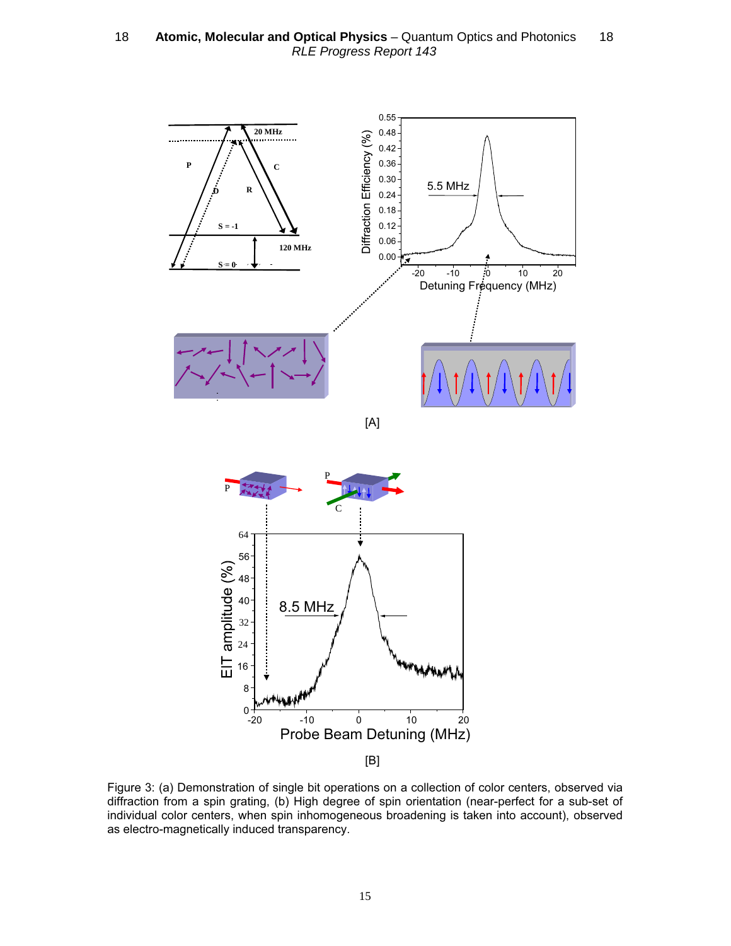18 **- Atomic, Molecular and Optical Physics** - Quantum Optics and Photonics - 18 RLE Progress Report 143



Figure 3: (a) Demonstration of single bit operations on a collection of color centers, observed via diffraction from a spin grating, (b) High degree of spin orientation (near-perfect for a sub-set of individual color centers, when spin inhomogeneous broadening is taken into account), observed as electro-magnetically induced transparency.

Probe Beam Detuning (MHz)

-20 -10 0 10 20

 $0 + 20$ 

8

[B]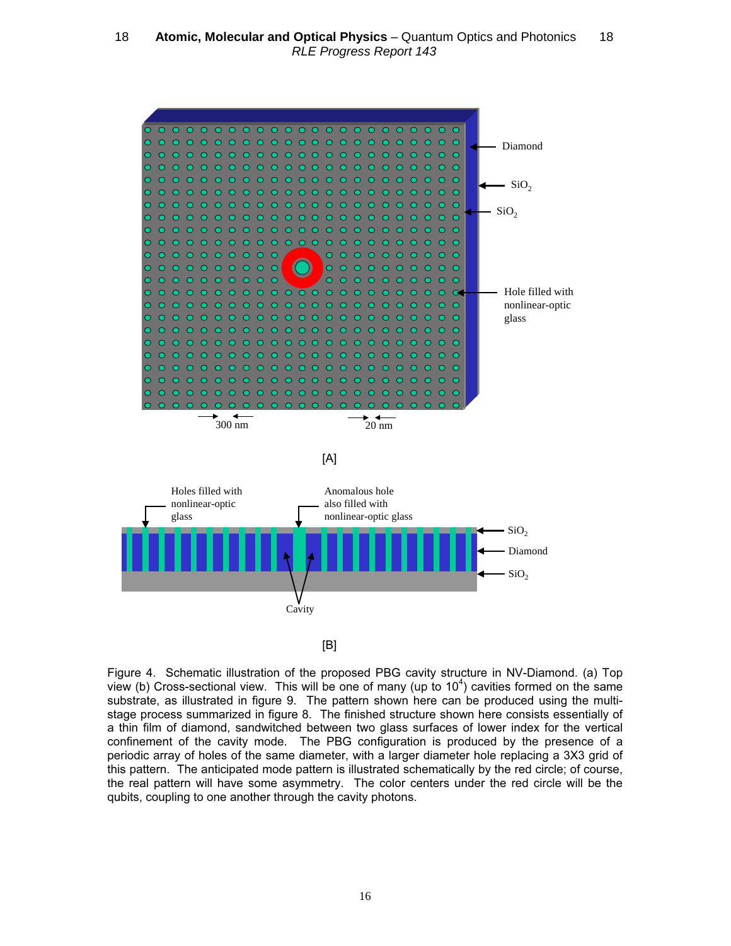

Figure 4. Schematic illustration of the proposed PBG cavity structure in NV-Diamond. (a) Top view (b) Cross-sectional view. This will be one of many (up to  $10^4$ ) cavities formed on the same substrate, as illustrated in figure 9. The pattern shown here can be produced using the multistage process summarized in figure 8. The finished structure shown here consists essentially of a thin film of diamond, sandwitched between two glass surfaces of lower index for the vertical confinement of the cavity mode. The PBG configuration is produced by the presence of a periodic array of holes of the same diameter, with a larger diameter hole replacing a 3X3 grid of this pattern. The anticipated mode pattern is illustrated schematically by the red circle; of course, the real pattern will have some asymmetry. The color centers under the red circle will be the qubits, coupling to one another through the cavity photons.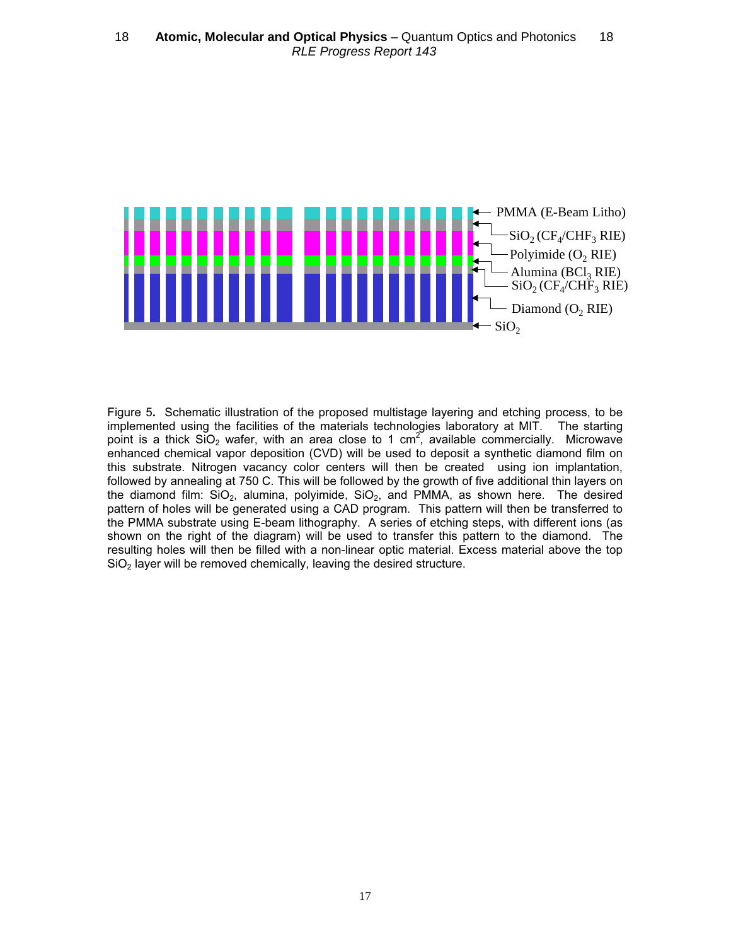

Figure 5. Schematic illustration of the proposed multistage layering and etching process, to be implemented using the facilities of the materials technologies laboratory at MIT. The starting point is a thick  $SiO<sub>2</sub>$  wafer, with an area close to 1 cm<sup>2</sup>, available commercially. Microwave enhanced chemical vapor deposition (CVD) will be used to deposit a synthetic diamond film on this substrate. Nitrogen vacancy color centers will then be created using ion implantation, followed by annealing at 750 C. This will be followed by the growth of five additional thin layers on the diamond film:  $SiO<sub>2</sub>$ , alumina, polyimide,  $SiO<sub>2</sub>$ , and PMMA, as shown here. The desired pattern of holes will be generated using a CAD program. This pattern will then be transferred to the PMMA substrate using E-beam lithography. A series of etching steps, with different ions (as shown on the right of the diagram) will be used to transfer this pattern to the diamond. The resulting holes will then be filled with a non-linear optic material. Excess material above the top  $SiO<sub>2</sub>$  layer will be removed chemically, leaving the desired structure.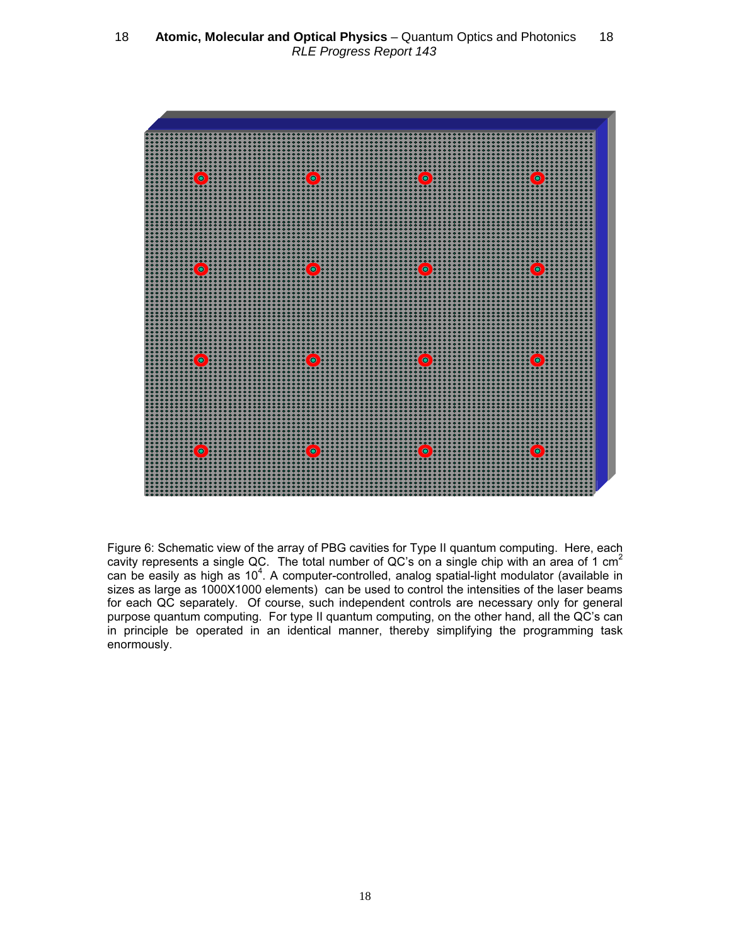

Figure 6: Schematic view of the array of PBG cavities for Type II quantum computing. Here, each cavity represents a single QC. The total number of QC's on a single chip with an area of 1 cm<sup>2</sup> can be easily as high as 10<sup>4</sup>. A computer-controlled, analog spatial-light modulator (available in sizes as large as 1000X1000 elements) can be used to control the intensities of the laser beams for each QC separately. Of course, such independent controls are necessary only for general purpose quantum computing. For type II quantum computing, on the other hand, all the QC's can in principle be operated in an identical manner, thereby simplifying the programming task enormously.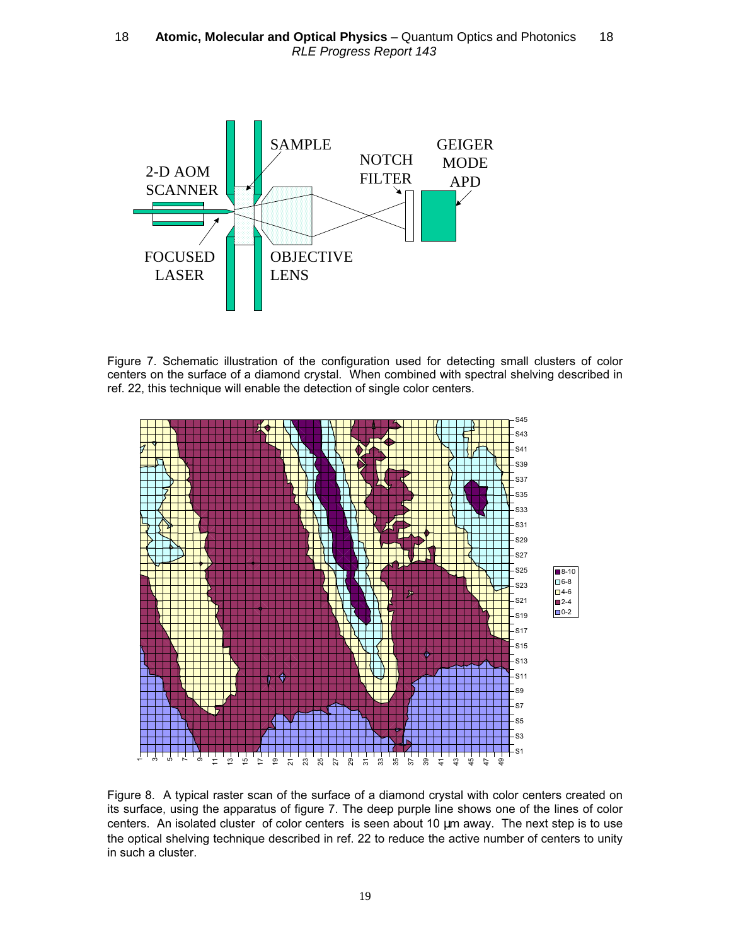

Figure 7. Schematic illustration of the configuration used for detecting small clusters of color centers on the surface of a diamond crystal. When combined with spectral shelving described in ref. 22, this technique will enable the detection of single color centers.



Figure 8. A typical raster scan of the surface of a diamond crystal with color centers created on its surface, using the apparatus of figure 7. The deep purple line shows one of the lines of color centers. An isolated cluster of color centers is seen about 10 µm away. The next step is to use the optical shelving technique described in ref. 22 to reduce the active number of centers to unity in such a cluster.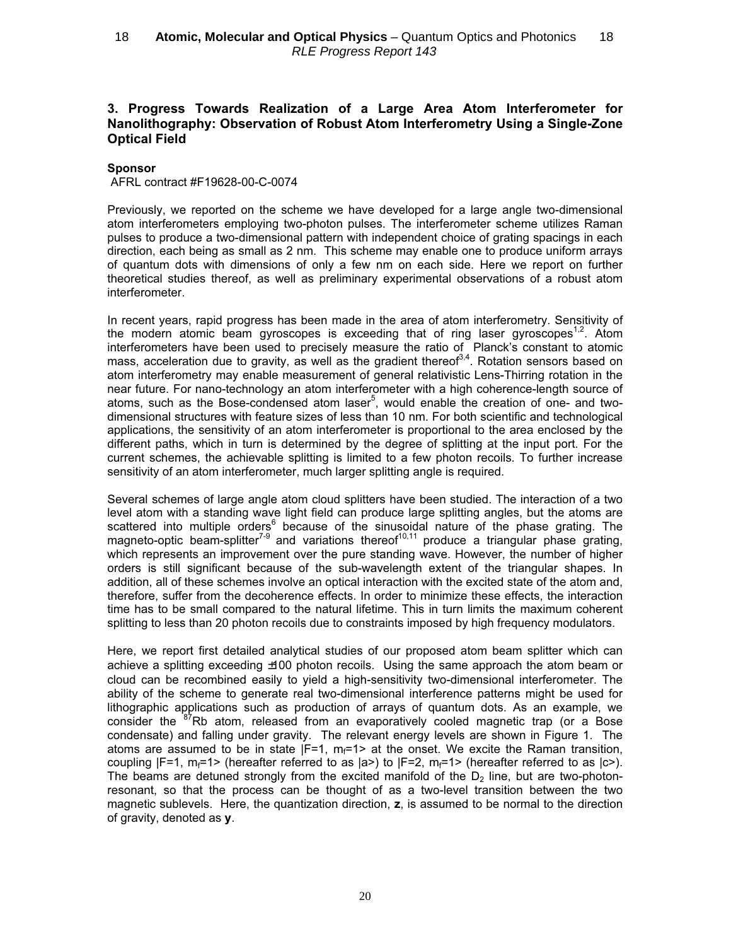## 3. Progress Towards Realization of a Large Area Atom Interferometer for Nanolithography: Observation of Robust Atom Interferometry Using a Single-Zone Optical Field

### Sponsor

AFRL contract #F19628-00-C-0074

Previously, we reported on the scheme we have developed for a large angle two-dimensional atom interferometers employing two-photon pulses. The interferometer scheme utilizes Raman pulses to produce a two-dimensional pattern with independent choice of grating spacings in each direction, each being as small as 2 nm. This scheme may enable one to produce uniform arrays of quantum dots with dimensions of only a few nm on each side. Here we report on further theoretical studies thereof, as well as preliminary experimental observations of a robust atom interferometer.

In recent years, rapid progress has been made in the area of atom interferometry. Sensitivity of the modern atomic beam gyroscopes is exceeding that of ring laser gyroscopes<sup>1,2</sup>. Atom interferometers have been used to precisely measure the ratio of Planck's constant to atomic mass, acceleration due to gravity, as well as the gradient thereof<sup>3,4</sup>. Rotation sensors based on atom interferometry may enable measurement of general relativistic Lens-Thirring rotation in the near future. For nano-technology an atom interferometer with a high coherence-length source of atoms, such as the Bose-condensed atom laser<sup>5</sup>, would enable the creation of one- and twodimensional structures with feature sizes of less than 10 nm. For both scientific and technological applications, the sensitivity of an atom interferometer is proportional to the area enclosed by the different paths, which in turn is determined by the degree of splitting at the input port. For the current schemes, the achievable splitting is limited to a few photon recoils. To further increase sensitivity of an atom interferometer, much larger splitting angle is required.

Several schemes of large angle atom cloud splitters have been studied. The interaction of a two level atom with a standing wave light field can produce large splitting angles, but the atoms are scattered into multiple orders<sup>6</sup> because of the sinusoidal nature of the phase grating. The magneto-optic beam-splitter<sup>7-9</sup> and variations thereof<sup>10,11</sup> produce a triangular phase grating, which represents an improvement over the pure standing wave. However, the number of higher orders is still significant because of the sub-wavelength extent of the triangular shapes. In addition, all of these schemes involve an optical interaction with the excited state of the atom and, therefore, suffer from the decoherence effects. In order to minimize these effects, the interaction time has to be small compared to the natural lifetime. This in turn limits the maximum coherent splitting to less than 20 photon recoils due to constraints imposed by high frequency modulators.

Here, we report first detailed analytical studies of our proposed atom beam splitter which can achieve a splitting exceeding ±100 photon recoils. Using the same approach the atom beam or cloud can be recombined easily to yield a high-sensitivity two-dimensional interferometer. The ability of the scheme to generate real two-dimensional interference patterns might be used for lithographic applications such as production of arrays of quantum dots. As an example, we consider the <sup>87</sup>Rb atom, released from an evaporatively cooled magnetic trap (or a Bose condensate) and falling under gravity. The relevant energy levels are shown in Figure 1. The atoms are assumed to be in state  $|F=1$ ,  $m_f=1$  at the onset. We excite the Raman transition, coupling  $|F=1$ , m<sub>f</sub>=1> (hereafter referred to as  $|a>$ ) to  $|F=2$ , m<sub>f</sub>=1> (hereafter referred to as  $|c>$ ). The beams are detuned strongly from the excited manifold of the  $D<sub>2</sub>$  line, but are two-photonresonant, so that the process can be thought of as a two-level transition between the two magnetic sublevels. Here, the quantization direction, z, is assumed to be normal to the direction of gravity, denoted as y.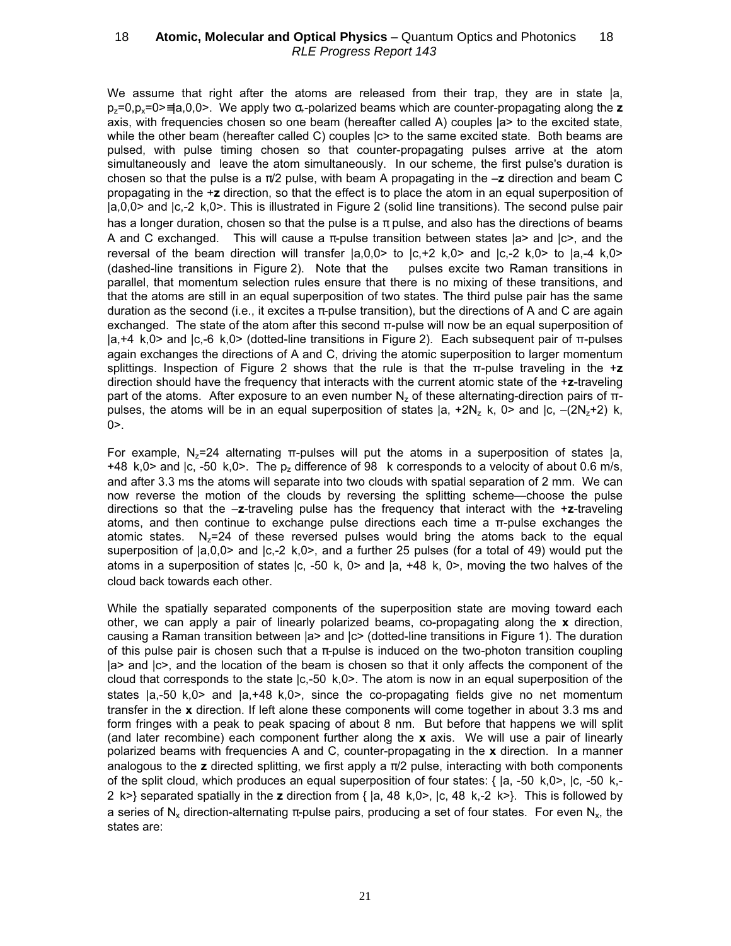We assume that right after the atoms are released from their trap, they are in state  $|a|$ ,  $p_z=0$ ,  $p_z=0$  =  $a,0,0>$ . We apply two  $\alpha$ -polarized beams which are counter-propagating along the z axis, with frequencies chosen so one beam (hereafter called A) couples |a> to the excited state, while the other beam (hereafter called C) couples  $|c$  to the same excited state. Both beams are pulsed, with pulse timing chosen so that counter-propagating pulses arrive at the atom simultaneously and leave the atom simultaneously. In our scheme, the first pulse's duration is chosen so that the pulse is a  $\pi/2$  pulse, with beam A propagating in the  $-z$  direction and beam C propagating in the +z direction, so that the effect is to place the atom in an equal superposition of |a,0,0> and |c,-2 k,0>. This is illustrated in Figure 2 (solid line transitions). The second pulse pair has a longer duration, chosen so that the pulse is a  $\pi$  pulse, and also has the directions of beams A and C exchanged. This will cause a  $\pi$ -pulse transition between states  $|a\rangle$  and  $|c\rangle$ , and the reversal of the beam direction will transfer  $|a,0,0\rangle$  to  $|c,+2$  k,0 $>$  and  $|c,-2$  k,0 $>$  to  $|a,-4$  k,0 $>$ (dashed-line transitions in Figure 2). Note that the pulses excite two Raman transitions in parallel, that momentum selection rules ensure that there is no mixing of these transitions, and that the atoms are still in an equal superposition of two states. The third pulse pair has the same duration as the second (i.e., it excites a  $\pi$ -pulse transition), but the directions of A and C are again exchanged. The state of the atom after this second π-pulse will now be an equal superposition of |a,+4 k,0> and |c,-6 k,0> (dotted-line transitions in Figure 2). Each subsequent pair of π-pulses again exchanges the directions of A and C, driving the atomic superposition to larger momentum splittings. Inspection of Figure 2 shows that the rule is that the  $\pi$ -pulse traveling in the  $+\mathbf{z}$ direction should have the frequency that interacts with the current atomic state of the +z-traveling part of the atoms. After exposure to an even number  $N_z$  of these alternating-direction pairs of πpulses, the atoms will be in an equal superposition of states  $|a, +2N_z$  k, 0> and  $|c, -(2N_z+2)$  k,  $0$  $>$ .

For example,  $N_z=24$  alternating  $\pi$ -pulses will put the atoms in a superposition of states  $|a|$ , +48 k,0> and |c, -50 k,0>. The  $p_z$  difference of 98 k corresponds to a velocity of about 0.6 m/s, and after 3.3 ms the atoms will separate into two clouds with spatial separation of 2 mm. We can now reverse the motion of the clouds by reversing the splitting scheme—choose the pulse directions so that the  $-z$ -traveling pulse has the frequency that interact with the  $+z$ -traveling atoms, and then continue to exchange pulse directions each time a π-pulse exchanges the atomic states.  $N_z=24$  of these reversed pulses would bring the atoms back to the equal superposition of |a,0,0> and |c,-2 k,0>, and a further 25 pulses (for a total of 49) would put the atoms in a superposition of states  $|c, -50 \, k, 0 \rangle$  and  $|a, +48 \, k, 0 \rangle$ , moving the two halves of the cloud back towards each other.

While the spatially separated components of the superposition state are moving toward each other, we can apply a pair of linearly polarized beams, co-propagating along the  $x$  direction, causing a Raman transition between |a> and |c> (dotted-line transitions in Figure 1). The duration of this pulse pair is chosen such that a  $\pi$ -pulse is induced on the two-photon transition coupling |a> and |c>, and the location of the beam is chosen so that it only affects the component of the cloud that corresponds to the state  $|c,-50 \;k,0\rangle$ . The atom is now in an equal superposition of the states |a,-50 k,0> and |a,+48 k,0>, since the co-propagating fields give no net momentum transfer in the  $x$  direction. If left alone these components will come together in about 3.3 ms and form fringes with a peak to peak spacing of about 8 nm. But before that happens we will split (and later recombine) each component further along the  $x$  axis. We will use a pair of linearly polarized beams with frequencies A and C, counter-propagating in the  $x$  direction. In a manner analogous to the z directed splitting, we first apply a  $\pi/2$  pulse, interacting with both components of the split cloud, which produces an equal superposition of four states:  $\{ |a, -50 \;k, 0 \rangle, |c, -50 \;k, -10 \rangle, |c, -10 \rangle, |c, -10 \rangle\}$ 2 k>} separated spatially in the z direction from  $\{ |a, 48 \text{ k}, 0 \rangle, |c, 48 \text{ k}, -2 \text{ k}\rangle \}$ . This is followed by a series of N<sub>x</sub> direction-alternating  $\pi$ -pulse pairs, producing a set of four states. For even N<sub>x</sub>, the states are: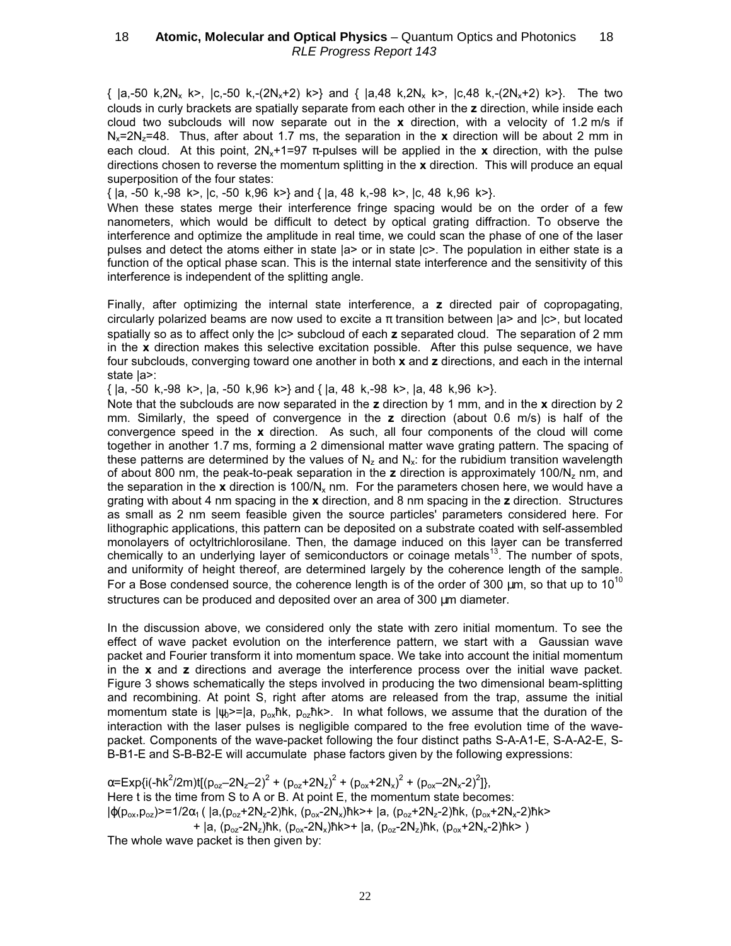$\{ |a,-50 \text{ k},2\text{N}_x \text{ k}\rangle, |c,-50 \text{ k},-(2\text{N}_x+2) \text{ k}\rangle\}$  and  $\{ |a,48 \text{ k},2\text{N}_x \text{ k}\rangle, |c,48 \text{ k},-(2\text{N}_x+2) \text{ k}\rangle\}$ . The two clouds in curly brackets are spatially separate from each other in the z direction, while inside each cloud two subclouds will now separate out in the  $x$  direction, with a velocity of 1.2 m/s if  $N<sub>x</sub>=2N<sub>z</sub>=48.$  Thus, after about 1.7 ms, the separation in the x direction will be about 2 mm in each cloud. At this point,  $2N_x+1=97$  π-pulses will be applied in the x direction, with the pulse directions chosen to reverse the momentum splitting in the  $x$  direction. This will produce an equal superposition of the four states:

 $\{ |a, -50 \text{ k}, -98 \text{ k}\rangle, |c, -50 \text{ k}, 96 \text{ k}\rangle \}$  and  $\{ |a, 48 \text{ k}, -98 \text{ k}\rangle, |c, 48 \text{ k}, 96 \text{ k}\rangle \}$ .

When these states merge their interference fringe spacing would be on the order of a few nanometers, which would be difficult to detect by optical grating diffraction. To observe the interference and optimize the amplitude in real time, we could scan the phase of one of the laser pulses and detect the atoms either in state |a> or in state |c>. The population in either state is a function of the optical phase scan. This is the internal state interference and the sensitivity of this interference is independent of the splitting angle.

Finally, after optimizing the internal state interference, a z directed pair of copropagating, circularly polarized beams are now used to excite a  $\pi$  transition between  $|a\rangle$  and  $|c\rangle$ , but located spatially so as to affect only the  $|c$  subcloud of each z separated cloud. The separation of 2 mm in the x direction makes this selective excitation possible. After this pulse sequence, we have four subclouds, converging toward one another in both x and z directions, and each in the internal state |a>:

 $\{ |a, -50 \text{ k}, -98 \text{ k}\rangle, |a, -50 \text{ k}, 96 \text{ k}\rangle \}$  and  $\{ |a, 48 \text{ k}, -98 \text{ k}\rangle, |a, 48 \text{ k}, 96 \text{ k}\rangle \}$ .

Note that the subclouds are now separated in the  $z$  direction by 1 mm, and in the  $x$  direction by 2 mm. Similarly, the speed of convergence in the z direction (about 0.6 m/s) is half of the convergence speed in the x direction. As such, all four components of the cloud will come together in another 1.7 ms, forming a 2 dimensional matter wave grating pattern. The spacing of these patterns are determined by the values of  $N_z$  and  $N_x$ : for the rubidium transition wavelength of about 800 nm, the peak-to-peak separation in the z direction is approximately 100/N<sub>z</sub> nm, and the separation in the x direction is 100/N<sub>x</sub> nm. For the parameters chosen here, we would have a grating with about 4 nm spacing in the  $x$  direction, and 8 nm spacing in the  $z$  direction. Structures as small as 2 nm seem feasible given the source particles' parameters considered here. For lithographic applications, this pattern can be deposited on a substrate coated with self-assembled monolayers of octyltrichlorosilane. Then, the damage induced on this layer can be transferred chemically to an underlying layer of semiconductors or coinage metals<sup>13</sup>. The number of spots, and uniformity of height thereof, are determined largely by the coherence length of the sample. For a Bose condensed source, the coherence length is of the order of 300  $\mu$ m, so that up to 10<sup>10</sup> structures can be produced and deposited over an area of 300 um diameter.

In the discussion above, we considered only the state with zero initial momentum. To see the effect of wave packet evolution on the interference pattern, we start with a Gaussian wave packet and Fourier transform it into momentum space. We take into account the initial momentum in the  $x$  and  $z$  directions and average the interference process over the initial wave packet. Figure 3 shows schematically the steps involved in producing the two dimensional beam-splitting and recombining. At point S, right after atoms are released from the trap, assume the initial momentum state is  $|_{\psi}>=|a, p_{\infty}$ ħk,  $p_{\infty}$ ħk>. In what follows, we assume that the duration of the interaction with the laser pulses is negligible compared to the free evolution time of the wavepacket. Components of the wave-packet following the four distinct paths S-A-A1-E, S-A-A2-E, S-B-B1-E and S-B-B2-E will accumulate phase factors given by the following expressions:

 $\alpha$ =Exp{i(-ħk<sup>2</sup>/2m)t[(p<sub>oz</sub>–2N<sub>z</sub>–2)<sup>2</sup> + (p<sub>oz</sub>+2N<sub>z</sub>)<sup>2</sup> + (p<sub>ox</sub>+2N<sub>x</sub>)<sup>2</sup> + (p<sub>ox</sub>–2N<sub>x</sub>-2)<sup>2</sup>]}, Here t is the time from S to A or B. At point E, the momentum state becomes:  $|\phi(p_{ox},p_{oz})\rangle$ =1/2 $\alpha_1$  (  $|a,(p_{oz}+2N_z-2)$ ħk,  $(p_{ox}-2N_x)$ ħk>+  $|a,(p_{oz}+2N_z-2)$ ħk,  $(p_{ox}+2N_x-2)$ ħk> +  $|a, (p_{oz}-2N_z)$ ħk,  $(p_{ox}-2N_x)$ ħk>+  $|a, (p_{oz}-2N_z)$ ħk,  $(p_{ox}+2N_x-2)$ ħk>)

The whole wave packet is then given by: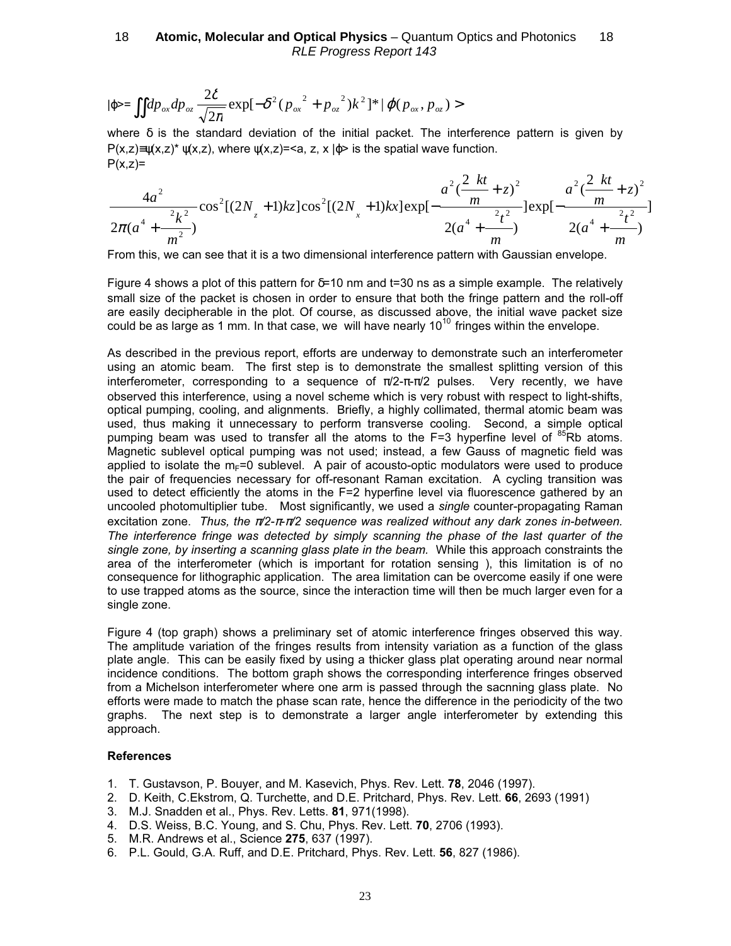$$
|\varphi\rangle = \iint dp_{ox} dp_{oz} \frac{2\delta}{\sqrt{2\pi}} \exp[-\delta^2(p_{ox}^2 + p_{oz}^2)k^2]^{*} |\varphi(p_{ox}, p_{oz}) \rangle
$$

where  $\delta$  is the standard deviation of the initial packet. The interference pattern is given by  $P(x,z)=v(x,z)^{*}$   $v(x,z)$ , where  $v(x,z)=,  $z$ ,  $x \mid \varphi>$  is the spatial wave function.$  $P(x,z)=$ 

$$
\frac{4a^2}{2\pi(a^4 + \frac{2k^2}{m^2})} \cos^2[(2N_x + 1)kz] \cos^2[(2N_x + 1)kx] \exp[-\frac{a^2(\frac{2kt}{m} + z)^2}{2(a^4 + \frac{2t^2}{m})}]\exp[-\frac{a^2(\frac{2kt}{m} + z)^2}{2(a^4 + \frac{2t^2}{m})}]
$$

From this, we can see that it is a two dimensional interference pattern with Gaussian envelope.

Figure 4 shows a plot of this pattern for  $\delta = 10$  nm and t=30 ns as a simple example. The relatively small size of the packet is chosen in order to ensure that both the fringe pattern and the roll-off are easily decipherable in the plot. Of course, as discussed above, the initial wave packet size could be as large as 1 mm. In that case, we will have nearly  $10^{10}$  fringes within the envelope.

As described in the previous report, efforts are underway to demonstrate such an interferometer using an atomic beam. The first step is to demonstrate the smallest splitting version of this interferometer, corresponding to a sequence of  $\pi/2$ - $\pi$ - $\pi/2$  pulses. Very recently, we have observed this interference, using a novel scheme which is very robust with respect to light-shifts, optical pumping, cooling, and alignments. Briefly, a highly collimated, thermal atomic beam was used, thus making it unnecessary to perform transverse cooling. Second, a simple optical pumping beam was used to transfer all the atoms to the  $F=3$  hyperfine level of  ${}^{85}Rb$  atoms. Magnetic sublevel optical pumping was not used; instead, a few Gauss of magnetic field was applied to isolate the  $m_F=0$  sublevel. A pair of acousto-optic modulators were used to produce the pair of frequencies necessary for off-resonant Raman excitation. A cycling transition was used to detect efficiently the atoms in the F=2 hyperfine level via fluorescence gathered by an uncooled photomultiplier tube. Most significantly, we used a single counter-propagating Raman excitation zone. Thus, the  $\pi/2$ - $\pi-\pi/2$  sequence was realized without any dark zones in-between. The interference fringe was detected by simply scanning the phase of the last quarter of the single zone, by inserting a scanning glass plate in the beam. While this approach constraints the area of the interferometer (which is important for rotation sensing ), this limitation is of no consequence for lithographic application. The area limitation can be overcome easily if one were to use trapped atoms as the source, since the interaction time will then be much larger even for a single zone.

Figure 4 (top graph) shows a preliminary set of atomic interference fringes observed this way. The amplitude variation of the fringes results from intensity variation as a function of the glass plate angle. This can be easily fixed by using a thicker glass plat operating around near normal incidence conditions. The bottom graph shows the corresponding interference fringes observed from a Michelson interferometer where one arm is passed through the sacnning glass plate. No efforts were made to match the phase scan rate, hence the difference in the periodicity of the two graphs. The next step is to demonstrate a larger angle interferometer by extending this approach.

#### References

- 1. T. Gustavson, P. Bouyer, and M. Kasevich, Phys. Rev. Lett. 78, 2046 (1997).
- 2. D. Keith, C.Ekstrom, Q. Turchette, and D.E. Pritchard, Phys. Rev. Lett. 66, 2693 (1991)
- 3. M.J. Snadden et al., Phys. Rev. Letts. 81, 971(1998).
- 4. D.S. Weiss, B.C. Young, and S. Chu, Phys. Rev. Lett. 70, 2706 (1993).
- 5. M.R. Andrews et al., Science 275, 637 (1997).
- 6. P.L. Gould, G.A. Ruff, and D.E. Pritchard, Phys. Rev. Lett. 56, 827 (1986).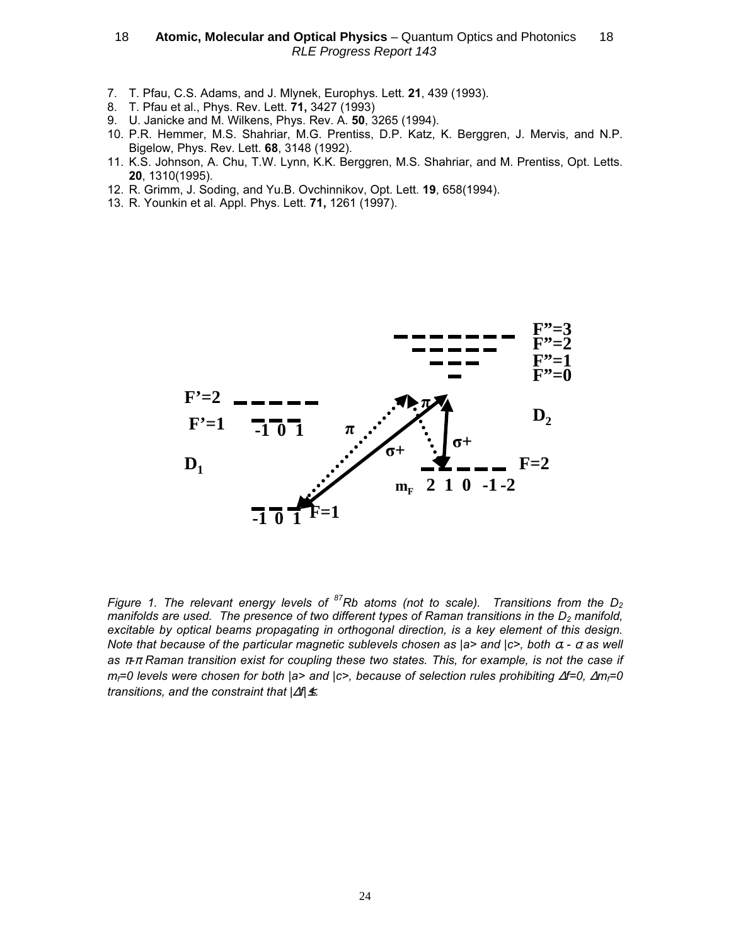- 7. T. Pfau, C.S. Adams, and J. Mlynek, Europhys. Lett. 21, 439 (1993).
- 8. T. Pfau et al., Phys. Rev. Lett. 71, 3427 (1993)
- 9. U. Janicke and M. Wilkens, Phys. Rev. A. 50, 3265 (1994).
- 10. P.R. Hemmer, M.S. Shahriar, M.G. Prentiss, D.P. Katz, K. Berggren, J. Mervis, and N.P. Bigelow, Phys. Rev. Lett. 68, 3148 (1992).
- 11. K.S. Johnson, A. Chu, T.W. Lynn, K.K. Berggren, M.S. Shahriar, and M. Prentiss, Opt. Letts. 20, 1310(1995).
- 12. R. Grimm, J. Soding, and Yu.B. Ovchinnikov, Opt. Lett. 19, 658(1994).
- 13. R. Younkin et al. Appl. Phys. Lett. 71, 1261 (1997).



Figure 1. The relevant energy levels of  ${}^{87}Rb$  atoms (not to scale). Transitions from the D<sub>2</sub> manifolds are used. The presence of two different types of Raman transitions in the  $D<sub>2</sub>$  manifold, excitable by optical beams propagating in orthogonal direction, is a key element of this design. Note that because of the particular magnetic sublevels chosen as  $|a\rangle$  and  $|c\rangle$ , both  $\sigma$  -  $\sigma$  as well as  $\pi\pi$  Raman transition exist for coupling these two states. This, for example, is not the case if  $m_f$ =0 levels were chosen for both |a> and |c>, because of selection rules prohibiting  $\Delta f=0$ ,  $\Delta m_f=0$ transitions, and the constraint that  $|\varDelta f|$ ≰.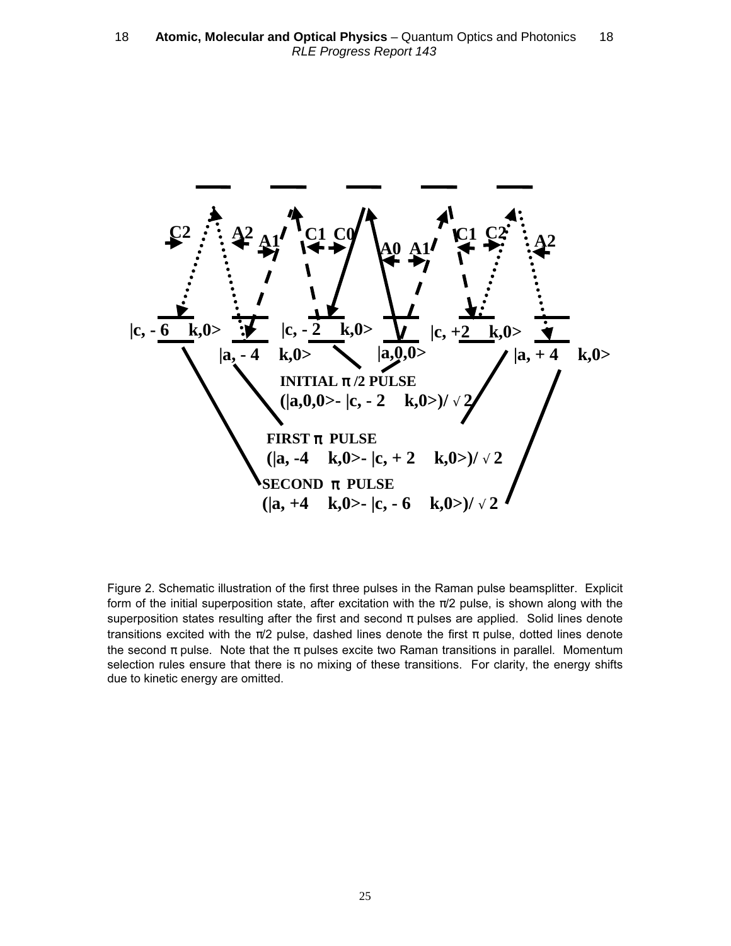

Figure 2. Schematic illustration of the first three pulses in the Raman pulse beamsplitter. Explicit form of the initial superposition state, after excitation with the  $\pi/2$  pulse, is shown along with the superposition states resulting after the first and second  $\pi$  pulses are applied. Solid lines denote transitions excited with the  $\pi/2$  pulse, dashed lines denote the first  $\pi$  pulse, dotted lines denote the second  $\pi$  pulse. Note that the  $\pi$  pulses excite two Raman transitions in parallel. Momentum selection rules ensure that there is no mixing of these transitions. For clarity, the energy shifts due to kinetic energy are omitted.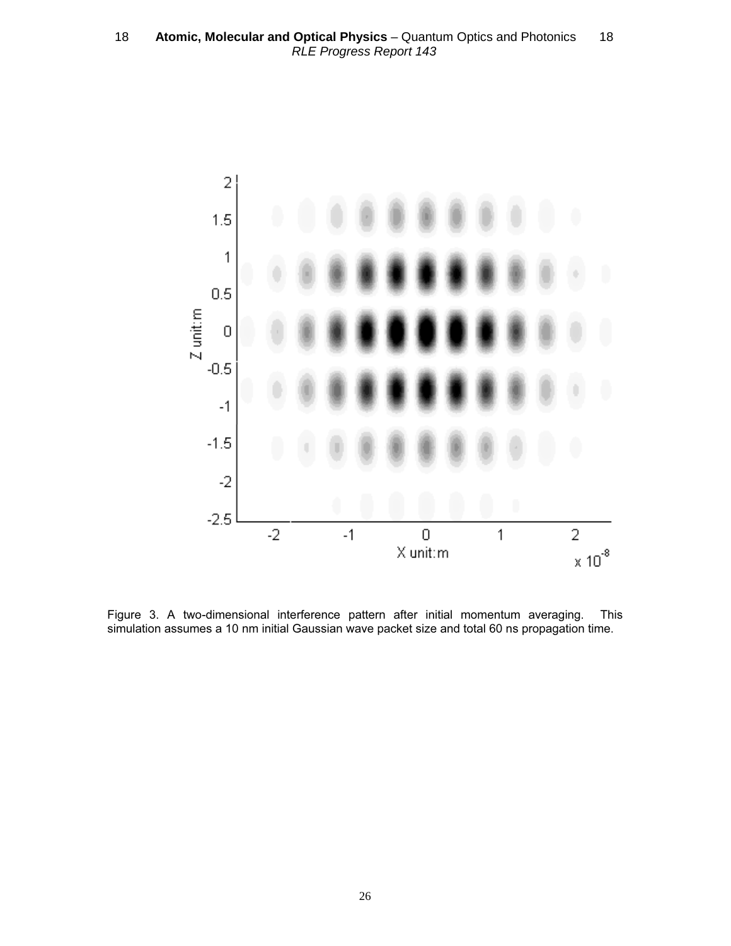

Figure 3. A two-dimensional interference pattern after initial momentum averaging. This simulation assumes a 10 nm initial Gaussian wave packet size and total 60 ns propagation time.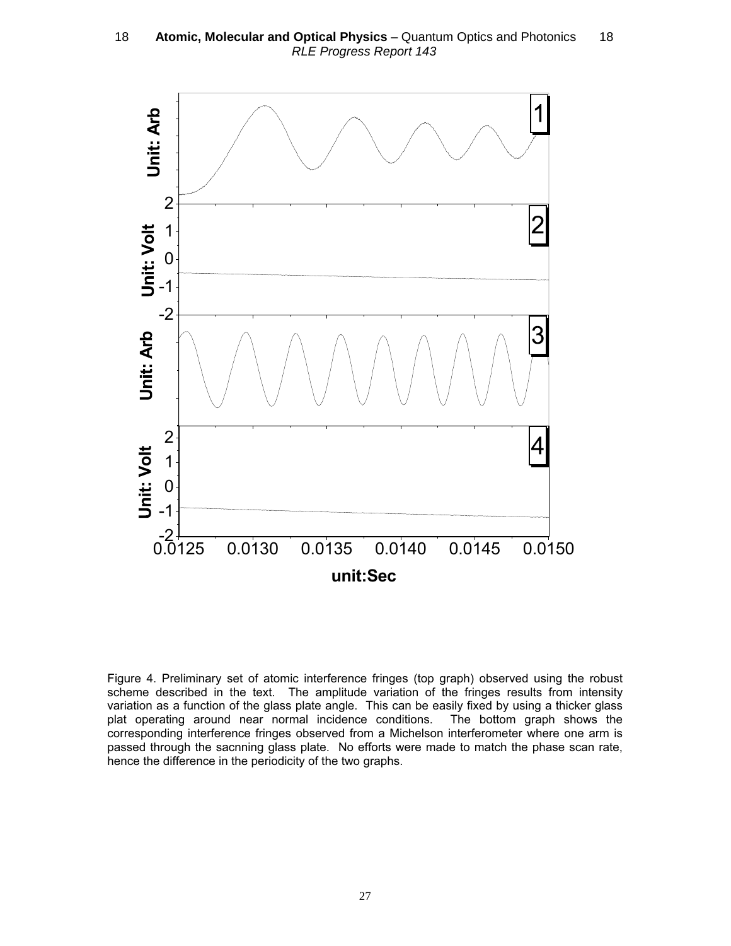

Figure 4. Preliminary set of atomic interference fringes (top graph) observed using the robust scheme described in the text. The amplitude variation of the fringes results from intensity variation as a function of the glass plate angle. This can be easily fixed by using a thicker glass plat operating around near normal incidence conditions. The bottom graph shows the corresponding interference fringes observed from a Michelson interferometer where one arm is passed through the sacnning glass plate. No efforts were made to match the phase scan rate, hence the difference in the periodicity of the two graphs.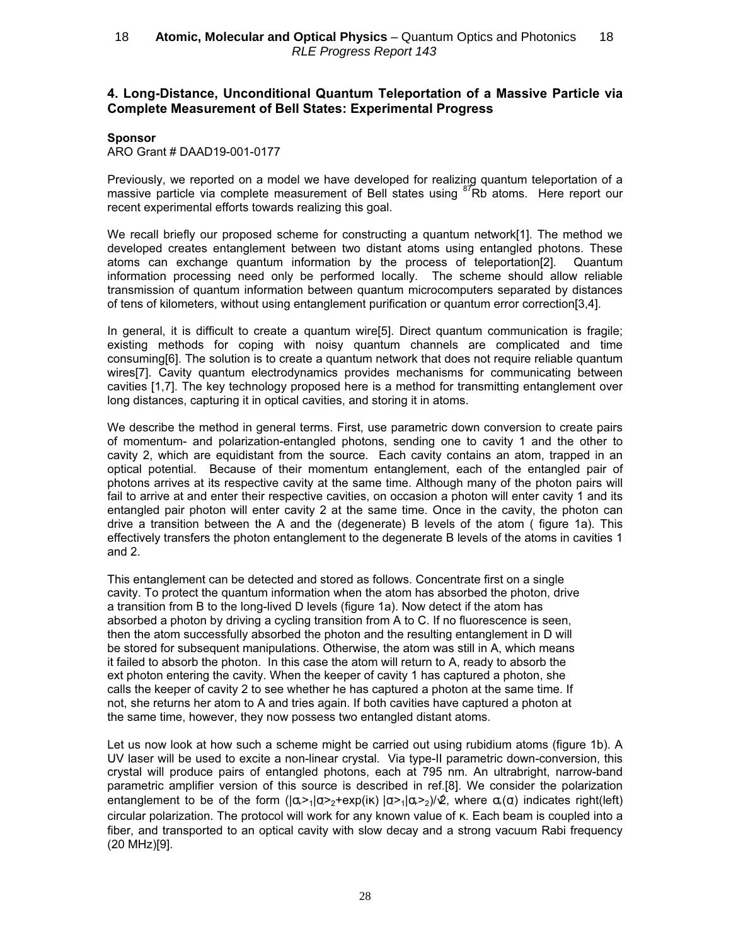## 4. Long-Distance, Unconditional Quantum Teleportation of a Massive Particle via Complete Measurement of Bell States: Experimental Progress

#### Sponsor

#### ARO Grant # DAAD19-001-0177

Previously, we reported on a model we have developed for realizing quantum teleportation of a massive particle via complete measurement of Bell states using <sup>87</sup>Rb atoms. Here report our recent experimental efforts towards realizing this goal.

We recall briefly our proposed scheme for constructing a quantum network[1]. The method we developed creates entanglement between two distant atoms using entangled photons. These atoms can exchange quantum information by the process of teleportation[2]. Quantum information processing need only be performed locally. The scheme should allow reliable transmission of quantum information between quantum microcomputers separated by distances of tens of kilometers, without using entanglement purification or quantum error correction[3,4].

In general, it is difficult to create a quantum wire[5]. Direct quantum communication is fragile; existing methods for coping with noisy quantum channels are complicated and time consuming[6]. The solution is to create a quantum network that does not require reliable quantum wires[7]. Cavity quantum electrodynamics provides mechanisms for communicating between cavities [1,7]. The key technology proposed here is a method for transmitting entanglement over long distances, capturing it in optical cavities, and storing it in atoms.

We describe the method in general terms. First, use parametric down conversion to create pairs of momentum- and polarization-entangled photons, sending one to cavity 1 and the other to cavity 2, which are equidistant from the source. Each cavity contains an atom, trapped in an optical potential. Because of their momentum entanglement, each of the entangled pair of photons arrives at its respective cavity at the same time. Although many of the photon pairs will fail to arrive at and enter their respective cavities, on occasion a photon will enter cavity 1 and its entangled pair photon will enter cavity 2 at the same time. Once in the cavity, the photon can drive a transition between the A and the (degenerate) B levels of the atom ( figure 1a). This effectively transfers the photon entanglement to the degenerate B levels of the atoms in cavities 1 and 2.

This entanglement can be detected and stored as follows. Concentrate first on a single cavity. To protect the quantum information when the atom has absorbed the photon, drive a transition from B to the long-lived D levels (figure 1a). Now detect if the atom has absorbed a photon by driving a cycling transition from A to C. If no fluorescence is seen, then the atom successfully absorbed the photon and the resulting entanglement in D will be stored for subsequent manipulations. Otherwise, the atom was still in A, which means it failed to absorb the photon. In this case the atom will return to A, ready to absorb the ext photon entering the cavity. When the keeper of cavity 1 has captured a photon, she calls the keeper of cavity 2 to see whether he has captured a photon at the same time. If not, she returns her atom to A and tries again. If both cavities have captured a photon at the same time, however, they now possess two entangled distant atoms.

Let us now look at how such a scheme might be carried out using rubidium atoms (figure 1b). A UV laser will be used to excite a non-linear crystal. Via type-II parametric down-conversion, this crystal will produce pairs of entangled photons, each at 795 nm. An ultrabright, narrow-band parametric amplifier version of this source is described in ref.[8]. We consider the polarization entanglement to be of the form  $(|\alpha\rangle-1|\alpha\rangle-2+exp(i\kappa)|\alpha\rangle-1|\alpha\rangle-2)/\mathcal{Q}$ , where  $\alpha+(\alpha)$  indicates right(left) circular polarization. The protocol will work for any known value of κ. Each beam is coupled into a fiber, and transported to an optical cavity with slow decay and a strong vacuum Rabi frequency (20 MHz)[9].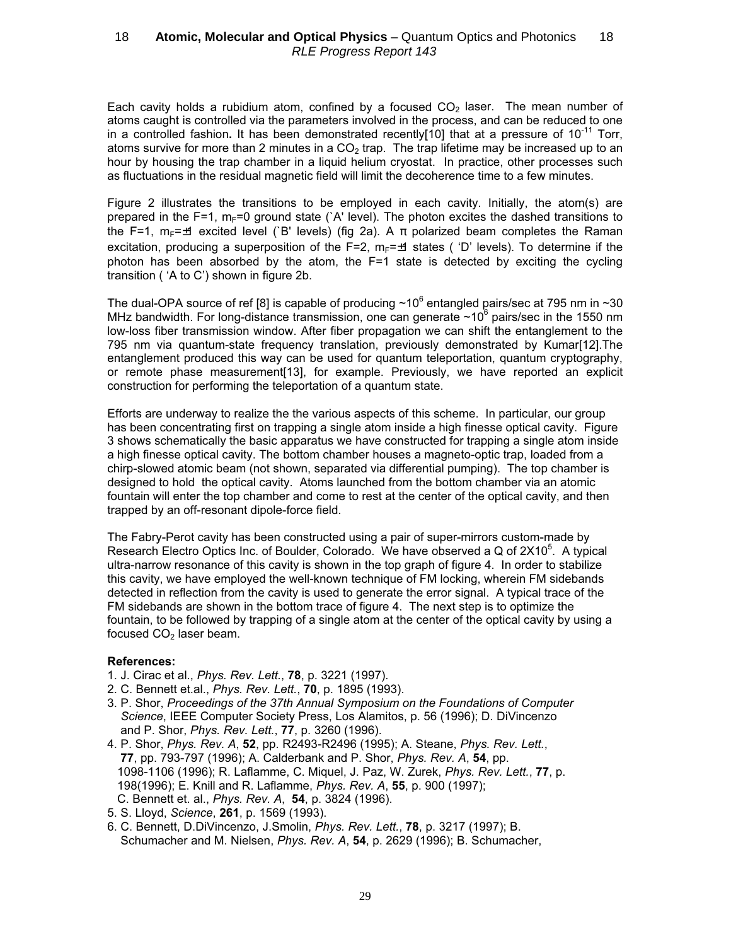Each cavity holds a rubidium atom, confined by a focused  $CO<sub>2</sub>$  laser. The mean number of atoms caught is controlled via the parameters involved in the process, and can be reduced to one in a controlled fashion. It has been demonstrated recently[10] that at a pressure of  $10^{-11}$  Torr, atoms survive for more than 2 minutes in a  $CO<sub>2</sub>$  trap. The trap lifetime may be increased up to an hour by housing the trap chamber in a liquid helium cryostat. In practice, other processes such as fluctuations in the residual magnetic field will limit the decoherence time to a few minutes.

Figure 2 illustrates the transitions to be employed in each cavity. Initially, the atom(s) are prepared in the F=1,  $m_F=0$  ground state (`A' level). The photon excites the dashed transitions to the F=1,  $m_F = \pm 1$  excited level (`B' levels) (fig 2a). A  $\pi$  polarized beam completes the Raman excitation, producing a superposition of the F=2,  $m_F = \pm 1$  states ( 'D' levels). To determine if the photon has been absorbed by the atom, the F=1 state is detected by exciting the cycling transition ( 'A to C') shown in figure 2b.

The dual-OPA source of ref [8] is capable of producing  $\sim 10^6$  entangled pairs/sec at 795 nm in  $\sim$  30 MHz bandwidth. For long-distance transmission, one can generate  $\sim$ 10 $^6$  pairs/sec in the 1550 nm low-loss fiber transmission window. After fiber propagation we can shift the entanglement to the 795 nm via quantum-state frequency translation, previously demonstrated by Kumar[12].The entanglement produced this way can be used for quantum teleportation, quantum cryptography, or remote phase measurement[13], for example. Previously, we have reported an explicit construction for performing the teleportation of a quantum state.

Efforts are underway to realize the the various aspects of this scheme. In particular, our group has been concentrating first on trapping a single atom inside a high finesse optical cavity. Figure 3 shows schematically the basic apparatus we have constructed for trapping a single atom inside a high finesse optical cavity. The bottom chamber houses a magneto-optic trap, loaded from a chirp-slowed atomic beam (not shown, separated via differential pumping). The top chamber is designed to hold the optical cavity. Atoms launched from the bottom chamber via an atomic fountain will enter the top chamber and come to rest at the center of the optical cavity, and then trapped by an off-resonant dipole-force field.

The Fabry-Perot cavity has been constructed using a pair of super-mirrors custom-made by Research Electro Optics Inc. of Boulder, Colorado. We have observed a Q of 2X10<sup>5</sup>. A typical ultra-narrow resonance of this cavity is shown in the top graph of figure 4. In order to stabilize this cavity, we have employed the well-known technique of FM locking, wherein FM sidebands detected in reflection from the cavity is used to generate the error signal. A typical trace of the FM sidebands are shown in the bottom trace of figure 4. The next step is to optimize the fountain, to be followed by trapping of a single atom at the center of the optical cavity by using a focused  $CO<sub>2</sub>$  laser beam.

#### References:

- 1. J. Cirac et al., Phys. Rev. Lett., 78, p. 3221 (1997).
- 2. C. Bennett et.al., Phys. Rev. Lett., 70, p. 1895 (1993).
- 3. P. Shor, Proceedings of the 37th Annual Symposium on the Foundations of Computer Science, IEEE Computer Society Press, Los Alamitos, p. 56 (1996); D. DiVincenzo and P. Shor, Phys. Rev. Lett., 77, p. 3260 (1996).
- 4. P. Shor, Phys. Rev. A, 52, pp. R2493-R2496 (1995); A. Steane, Phys. Rev. Lett., 77, pp. 793-797 (1996); A. Calderbank and P. Shor, Phys. Rev. A, 54, pp. 1098-1106 (1996); R. Laflamme, C. Miquel, J. Paz, W. Zurek, Phys. Rev. Lett., 77, p. 198(1996); E. Knill and R. Laflamme, Phys. Rev. A, 55, p. 900 (1997); C. Bennett et. al., Phys. Rev. A, 54, p. 3824 (1996).
- 5. S. Lloyd, Science, 261, p. 1569 (1993).
- 6. C. Bennett, D.DiVincenzo, J.Smolin, Phys. Rev. Lett., 78, p. 3217 (1997); B. Schumacher and M. Nielsen, Phys. Rev. A, 54, p. 2629 (1996); B. Schumacher,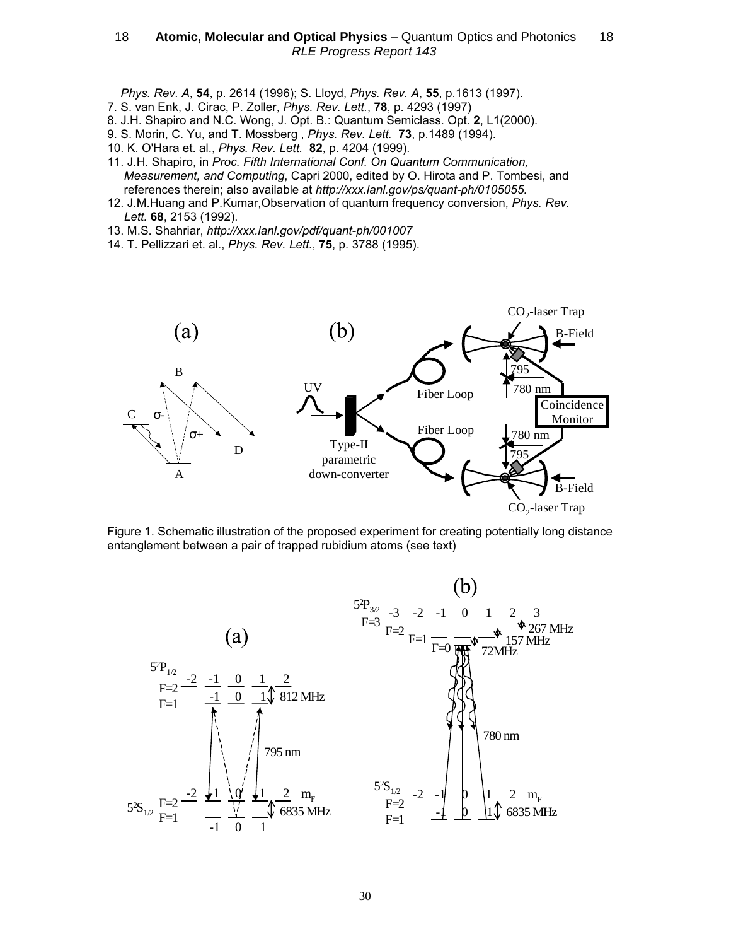Phys. Rev. A, 54, p. 2614 (1996); S. Lloyd, Phys. Rev. A, 55, p.1613 (1997).

- 7. S. van Enk, J. Cirac, P. Zoller, Phys. Rev. Lett., 78, p. 4293 (1997)
- 8. J.H. Shapiro and N.C. Wong, J. Opt. B.: Quantum Semiclass. Opt. 2, L1(2000).
- 9. S. Morin, C. Yu, and T. Mossberg , Phys. Rev. Lett. 73, p.1489 (1994).
- 10. K. O'Hara et. al., Phys. Rev. Lett. 82, p. 4204 (1999).
- 11. J.H. Shapiro, in Proc. Fifth International Conf. On Quantum Communication, Measurement, and Computing, Capri 2000, edited by O. Hirota and P. Tombesi, and references therein; also available at http://xxx.lanl.gov/ps/quant-ph/0105055.
- 12. J.M.Huang and P.Kumar,Observation of quantum frequency conversion, Phys. Rev. Lett. 68, 2153 (1992).
- 13. M.S. Shahriar, http://xxx.lanl.gov/pdf/quant-ph/001007
- 14. T. Pellizzari et. al., Phys. Rev. Lett., 75, p. 3788 (1995).



Figure 1. Schematic illustration of the proposed experiment for creating potentially long distance entanglement between a pair of trapped rubidium atoms (see text)

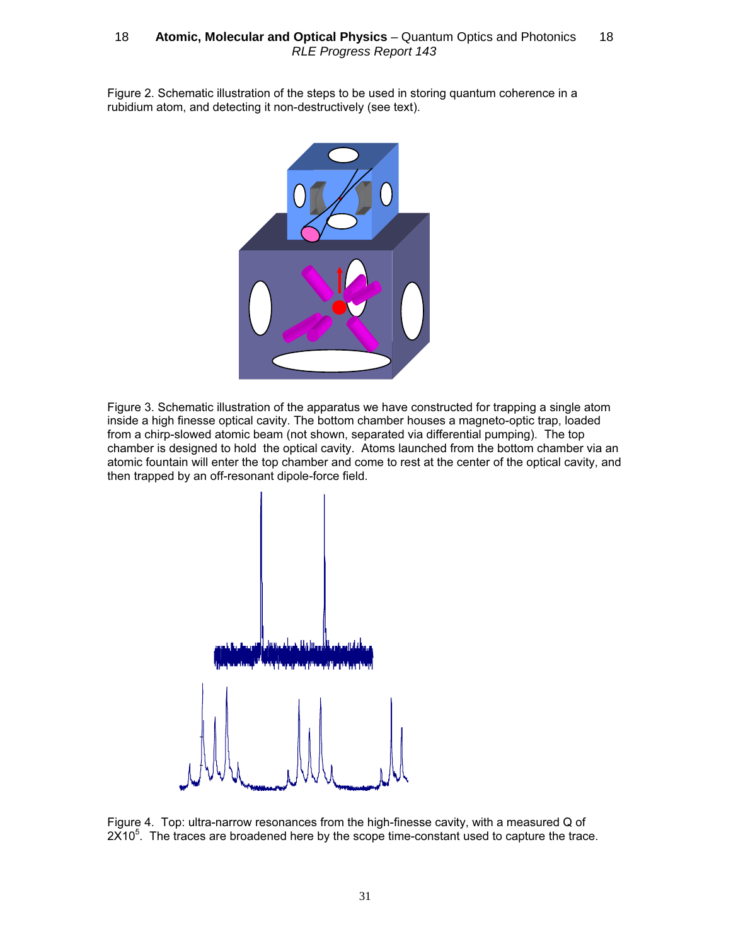Figure 2. Schematic illustration of the steps to be used in storing quantum coherence in a rubidium atom, and detecting it non-destructively (see text).



Figure 3. Schematic illustration of the apparatus we have constructed for trapping a single atom inside a high finesse optical cavity. The bottom chamber houses a magneto-optic trap, loaded from a chirp-slowed atomic beam (not shown, separated via differential pumping). The top chamber is designed to hold the optical cavity. Atoms launched from the bottom chamber via an atomic fountain will enter the top chamber and come to rest at the center of the optical cavity, and then trapped by an off-resonant dipole-force field.



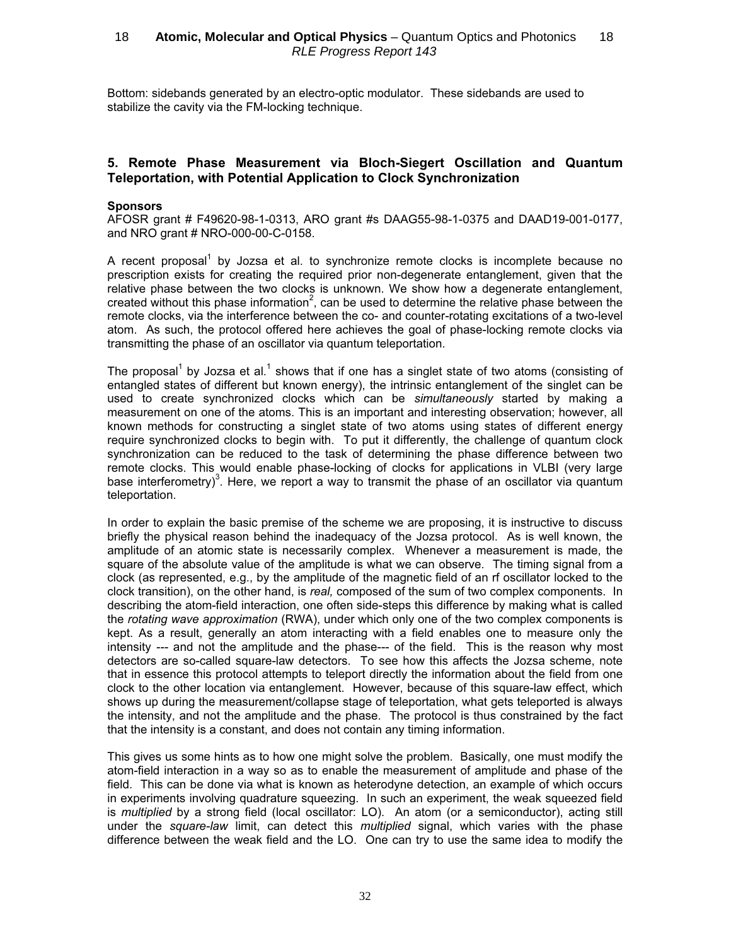Bottom: sidebands generated by an electro-optic modulator. These sidebands are used to stabilize the cavity via the FM-locking technique.

## 5. Remote Phase Measurement via Bloch-Siegert Oscillation and Quantum Teleportation, with Potential Application to Clock Synchronization

#### **Sponsors**

AFOSR grant # F49620-98-1-0313, ARO grant #s DAAG55-98-1-0375 and DAAD19-001-0177, and NRO grant # NRO-000-00-C-0158.

A recent proposal<sup>1</sup> by Jozsa et al. to synchronize remote clocks is incomplete because no prescription exists for creating the required prior non-degenerate entanglement, given that the relative phase between the two clocks is unknown. We show how a degenerate entanglement, created without this phase information<sup>2</sup>, can be used to determine the relative phase between the remote clocks, via the interference between the co- and counter-rotating excitations of a two-level atom. As such, the protocol offered here achieves the goal of phase-locking remote clocks via transmitting the phase of an oscillator via quantum teleportation.

The proposal<sup>1</sup> by Jozsa et al.<sup>1</sup> shows that if one has a singlet state of two atoms (consisting of entangled states of different but known energy), the intrinsic entanglement of the singlet can be used to create synchronized clocks which can be simultaneously started by making a measurement on one of the atoms. This is an important and interesting observation; however, all known methods for constructing a singlet state of two atoms using states of different energy require synchronized clocks to begin with. To put it differently, the challenge of quantum clock synchronization can be reduced to the task of determining the phase difference between two remote clocks. This would enable phase-locking of clocks for applications in VLBI (very large base interferometry)<sup>3</sup>. Here, we report a way to transmit the phase of an oscillator via quantum teleportation.

In order to explain the basic premise of the scheme we are proposing, it is instructive to discuss briefly the physical reason behind the inadequacy of the Jozsa protocol. As is well known, the amplitude of an atomic state is necessarily complex. Whenever a measurement is made, the square of the absolute value of the amplitude is what we can observe. The timing signal from a clock (as represented, e.g., by the amplitude of the magnetic field of an rf oscillator locked to the clock transition), on the other hand, is real, composed of the sum of two complex components. In describing the atom-field interaction, one often side-steps this difference by making what is called the rotating wave approximation (RWA), under which only one of the two complex components is kept. As a result, generally an atom interacting with a field enables one to measure only the intensity --- and not the amplitude and the phase--- of the field. This is the reason why most detectors are so-called square-law detectors. To see how this affects the Jozsa scheme, note that in essence this protocol attempts to teleport directly the information about the field from one clock to the other location via entanglement. However, because of this square-law effect, which shows up during the measurement/collapse stage of teleportation, what gets teleported is always the intensity, and not the amplitude and the phase. The protocol is thus constrained by the fact that the intensity is a constant, and does not contain any timing information.

This gives us some hints as to how one might solve the problem. Basically, one must modify the atom-field interaction in a way so as to enable the measurement of amplitude and phase of the field. This can be done via what is known as heterodyne detection, an example of which occurs in experiments involving quadrature squeezing. In such an experiment, the weak squeezed field is multiplied by a strong field (local oscillator: LO). An atom (or a semiconductor), acting still under the square-law limit, can detect this multiplied signal, which varies with the phase difference between the weak field and the LO. One can try to use the same idea to modify the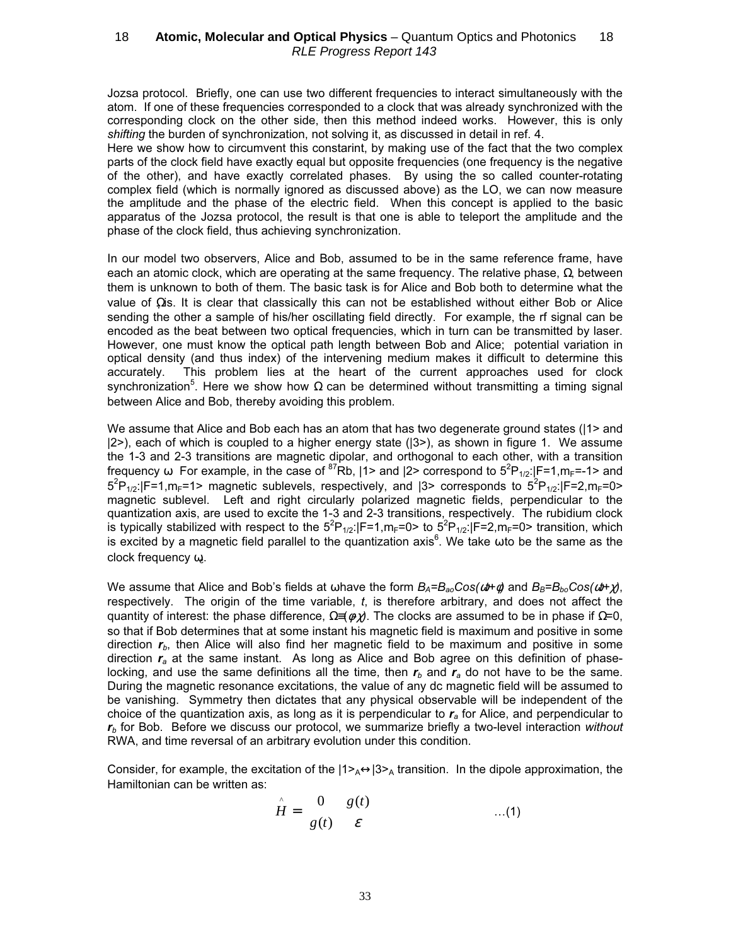Jozsa protocol. Briefly, one can use two different frequencies to interact simultaneously with the atom. If one of these frequencies corresponded to a clock that was already synchronized with the corresponding clock on the other side, then this method indeed works. However, this is only shifting the burden of synchronization, not solving it, as discussed in detail in ref. 4.

Here we show how to circumvent this constarint, by making use of the fact that the two complex parts of the clock field have exactly equal but opposite frequencies (one frequency is the negative of the other), and have exactly correlated phases. By using the so called counter-rotating complex field (which is normally ignored as discussed above) as the LO, we can now measure the amplitude and the phase of the electric field. When this concept is applied to the basic apparatus of the Jozsa protocol, the result is that one is able to teleport the amplitude and the phase of the clock field, thus achieving synchronization.

In our model two observers, Alice and Bob, assumed to be in the same reference frame, have each an atomic clock, which are operating at the same frequency. The relative phase,  $\Omega$ , between them is unknown to both of them. The basic task is for Alice and Bob both to determine what the value of Ωis. It is clear that classically this can not be established without either Bob or Alice sending the other a sample of his/her oscillating field directly. For example, the rf signal can be encoded as the beat between two optical frequencies, which in turn can be transmitted by laser. However, one must know the optical path length between Bob and Alice; potential variation in optical density (and thus index) of the intervening medium makes it difficult to determine this accurately. This problem lies at the heart of the current approaches used for clock synchronization<sup>5</sup>. Here we show how Ω can be determined without transmitting a timing signal between Alice and Bob, thereby avoiding this problem.

We assume that Alice and Bob each has an atom that has two degenerate ground states (|1> and  $|2\rangle$ , each of which is coupled to a higher energy state  $(|3\rangle)$ , as shown in figure 1. We assume the 1-3 and 2-3 transitions are magnetic dipolar, and orthogonal to each other, with a transition frequency  $\omega$  For example, in the case of <sup>87</sup>Rb,  $|1\rangle$  and  $|2\rangle$  correspond to  $5^{2}P_{1/2}$ :  $|F=1,m_{F}=-1\rangle$  and  $5^{2}P_{1/2}$ : F=1,m<sub>F</sub>=1> magnetic sublevels, respectively, and  $|3>$  corresponds to  $5^{2}P_{1/2}$ : F=2,m<sub>F</sub>=0> magnetic sublevel. Left and right circularly polarized magnetic fields, perpendicular to the quantization axis, are used to excite the 1-3 and 2-3 transitions, respectively. The rubidium clock is typically stabilized with respect to the  $5^2P_{1/2}$ :  $|F=1,m_F=0$  to  $5^2P_{1/2}$ :  $|F=2,m_F=0$  transition, which is excited by a magnetic field parallel to the quantization axis<sup>6</sup>. We take  $\omega$  to be the same as the clock frequency ω.

We assume that Alice and Bob's fields at  $\omega$  have the form  $B_A = B_{ao}Cos(\omega t + \phi)$  and  $B_B = B_{bo}Cos(\omega t + \chi)$ , respectively. The origin of the time variable,  $t$ , is therefore arbitrary, and does not affect the quantity of interest: the phase difference,  $\Omega = (\phi \chi)$ . The clocks are assumed to be in phase if  $\Omega = 0$ , so that if Bob determines that at some instant his magnetic field is maximum and positive in some direction  $r<sub>b</sub>$ , then Alice will also find her magnetic field to be maximum and positive in some direction  $r_a$  at the same instant. As long as Alice and Bob agree on this definition of phaselocking, and use the same definitions all the time, then  $r<sub>b</sub>$  and  $r<sub>a</sub>$  do not have to be the same. During the magnetic resonance excitations, the value of any dc magnetic field will be assumed to be vanishing. Symmetry then dictates that any physical observable will be independent of the choice of the quantization axis, as long as it is perpendicular to  $r_a$  for Alice, and perpendicular to  $r<sub>b</sub>$  for Bob. Before we discuss our protocol, we summarize briefly a two-level interaction without RWA, and time reversal of an arbitrary evolution under this condition.

Consider, for example, the excitation of the  $|1\rangle_{A} \leftrightarrow |3\rangle_{A}$  transition. In the dipole approximation, the Hamiltonian can be written as:

$$
\hat{H} = \begin{bmatrix} 0 & g(t) \\ g(t) & \varepsilon \end{bmatrix} \tag{1}
$$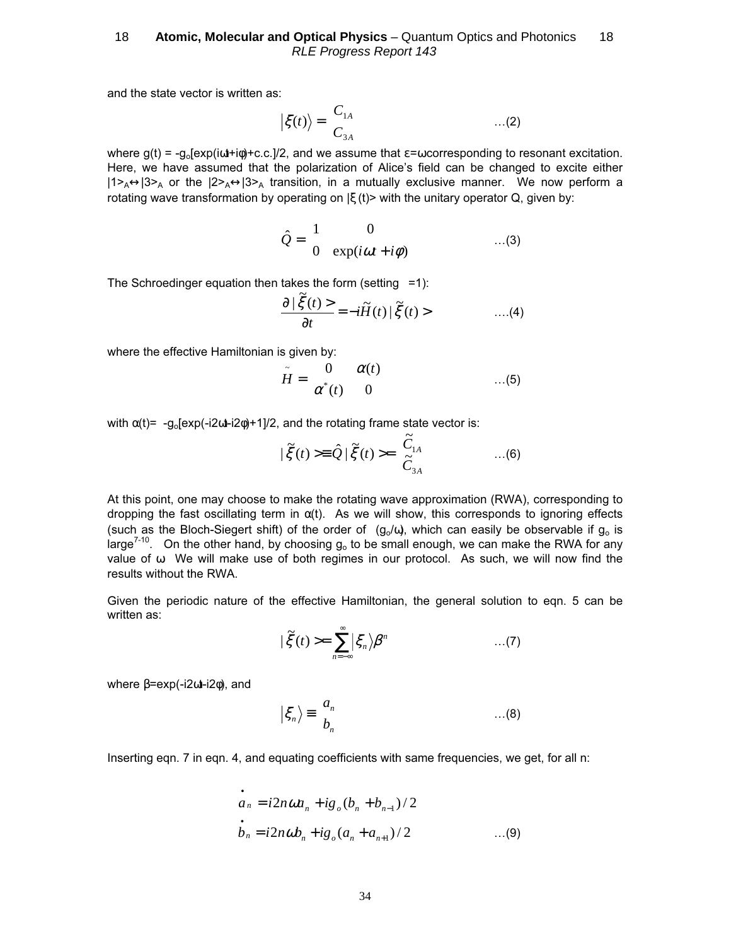and the state vector is written as:

$$
\left|\xi(t)\right\rangle = \begin{bmatrix} C_{1A} \\ C_{3A} \end{bmatrix} \qquad \qquad \dots (2)
$$

where  $g(t) = -g_0[exp(i\omega t + i\phi) + c.c.]/2$ , and we assume that  $\varepsilon = \omega$  corresponding to resonant excitation. Here, we have assumed that the polarization of Alice's field can be changed to excite either  $|1\rangle_A\leftrightarrow|3\rangle_A$  or the  $|2\rangle_A\leftrightarrow|3\rangle_A$  transition, in a mutually exclusive manner. We now perform a rotating wave transformation by operating on  $|\xi(t)\rangle$  with the unitary operator Q, given by:

$$
\hat{Q} = \begin{bmatrix} 1 & 0 \\ 0 & \exp(i\omega t + i\phi) \end{bmatrix} \qquad \qquad \dots (3)
$$

The Schroedinger equation then takes the form (setting  $=1$ ):

$$
\frac{\partial |\tilde{\xi}(t)\rangle}{\partial t} = -i\tilde{H}(t)|\tilde{\xi}(t)\rangle \qquad \qquad \dots (4)
$$

where the effective Hamiltonian is given by:

$$
\tilde{H} = \begin{bmatrix} 0 & \alpha(t) \\ \alpha^*(t) & 0 \end{bmatrix} \qquad \qquad \dots (5)
$$

with  $\alpha(t) = -g_0[\exp(-i2\alpha t - i2\phi) + 1]/2$ , and the rotating frame state vector is:

$$
|\tilde{\xi}(t) \rangle = \hat{Q} | \tilde{\xi}(t) \rangle = \begin{bmatrix} \tilde{C}_{1A} \\ \tilde{C}_{3A} \end{bmatrix} \qquad ...(6)
$$

At this point, one may choose to make the rotating wave approximation (RWA), corresponding to dropping the fast oscillating term in  $\alpha(t)$ . As we will show, this corresponds to ignoring effects (such as the Bloch-Siegert shift) of the order of  $(g_0/\omega)$ , which can easily be observable if  $g_0$  is large<sup>7-10</sup>. On the other hand, by choosing  $g_0$  to be small enough, we can make the RWA for any value of  $\omega$ . We will make use of both regimes in our protocol. As such, we will now find the results without the RWA.

Given the periodic nature of the effective Hamiltonian, the general solution to eqn. 5 can be written as:

$$
|\tilde{\xi}(t) \rangle = \sum_{n=-\infty}^{\infty} |\xi_n\rangle \beta^n \qquad \qquad ...(7)
$$

where  $\beta$ =exp(-i2ωt-i2φ), and

$$
\left|\xi_n\right\rangle \equiv \begin{bmatrix} a_n \\ b_n \end{bmatrix} \qquad \qquad \dots (8)
$$

Inserting eqn. 7 in eqn. 4, and equating coefficients with same frequencies, we get, for all n:

$$
\dot{a}_n = i2n\omega a_n + ig_o(b_n + b_{n-1})/2
$$
  
\n
$$
\dot{b}_n = i2n\omega b_n + ig_o(a_n + a_{n+1})/2
$$
...(9)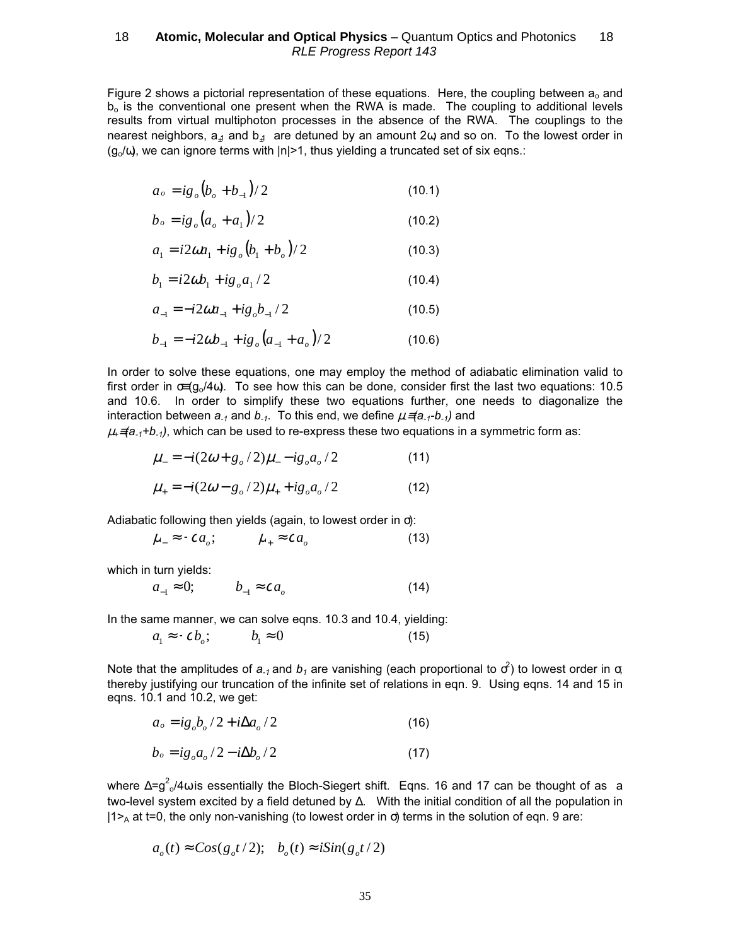Figure 2 shows a pictorial representation of these equations. Here, the coupling between  $a_0$  and  $b<sub>o</sub>$  is the conventional one present when the RWA is made. The coupling to additional levels results from virtual multiphoton processes in the absence of the RWA. The couplings to the nearest neighbors,  $a_{11}$  and  $b_{11}$  are detuned by an amount 2 $\omega$  and so on. To the lowest order in  $(g_0/\omega)$ , we can ignore terms with  $|n|>1$ , thus yielding a truncated set of six eqns.:

$$
a_o = ig_o (b_o + b_{-1})/2 \tag{10.1}
$$

$$
b_o = ig_o (a_o + a_1)/2
$$
 (10.2)

$$
a_1 = i2\omega a_1 + ig_o (b_1 + b_o)/2
$$
 (10.3)

$$
b_1 = i2\omega b_1 + i g_o a_1 / 2 \tag{10.4}
$$

$$
a_{-1} = -i2\omega a_{-1} + ig_o b_{-1}/2
$$
 (10.5)

$$
b_{-1} = -i2\omega b_{-1} + ig_o (a_{-1} + a_o)/2
$$
 (10.6)

In order to solve these equations, one may employ the method of adiabatic elimination valid to first order in  $\sigma = (g_0/4\omega)$ . To see how this can be done, consider first the last two equations: 10.5 and 10.6. In order to simplify these two equations further, one needs to diagonalize the interaction between  $a_{-1}$  and  $b_{-1}$ . To this end, we define  $\mu = (a_{-1}-b_{-1})$  and

 $\mu_1$ ≡(a<sub>-1</sub>+b<sub>-1</sub>), which can be used to re-express these two equations in a symmetric form as:

$$
\mu_{-} = -i(2\omega + g_{o}/2)\mu_{-} - ig_{o}a_{o}/2 \tag{11}
$$

$$
\mu_{+} = -i(2\omega - g_{o}/2)\mu_{+} + ig_{o}a_{o}/2 \tag{12}
$$

Adiabatic following then yields (again, to lowest order in σ):

$$
\mu_{-} \approx -c a_{o}; \qquad \mu_{+} \approx c a_{o} \qquad (13)
$$

which in turn yields:

$$
a_{-1} \approx 0; \qquad b_{-1} \approx c a_o \tag{14}
$$

In the same manner, we can solve eqns. 10.3 and 10.4, yielding:

$$
a_1 \approx -\mathbf{c} b_o; \qquad b_1 \approx 0 \tag{15}
$$

Note that the amplitudes of  $a_{-1}$  and  $b_1$  are vanishing (each proportional to  $\sigma^2$ ) to lowest order in  $\sigma$ , thereby justifying our truncation of the infinite set of relations in eqn. 9. Using eqns. 14 and 15 in eqns. 10.1 and 10.2, we get:

$$
a_o = ig_o b_o / 2 + i \Delta a_o / 2 \tag{16}
$$

$$
b_o = ig_o a_o / 2 - i \Delta b_o / 2 \tag{17}
$$

where ∆=g<sup>2</sup><sub>o</sub>/4ω is essentially the Bloch-Siegert shift. Eqns. 16 and 17 can be thought of as a two-level system excited by a field detuned by ∆. With the initial condition of all the population in  $|1\rangle$ <sub>A</sub> at t=0, the only non-vanishing (to lowest order in  $\sigma$ ) terms in the solution of eqn. 9 are:

$$
a_o(t) \approx Cos(g_o t/2); b_o(t) \approx iSin(g_o t/2)
$$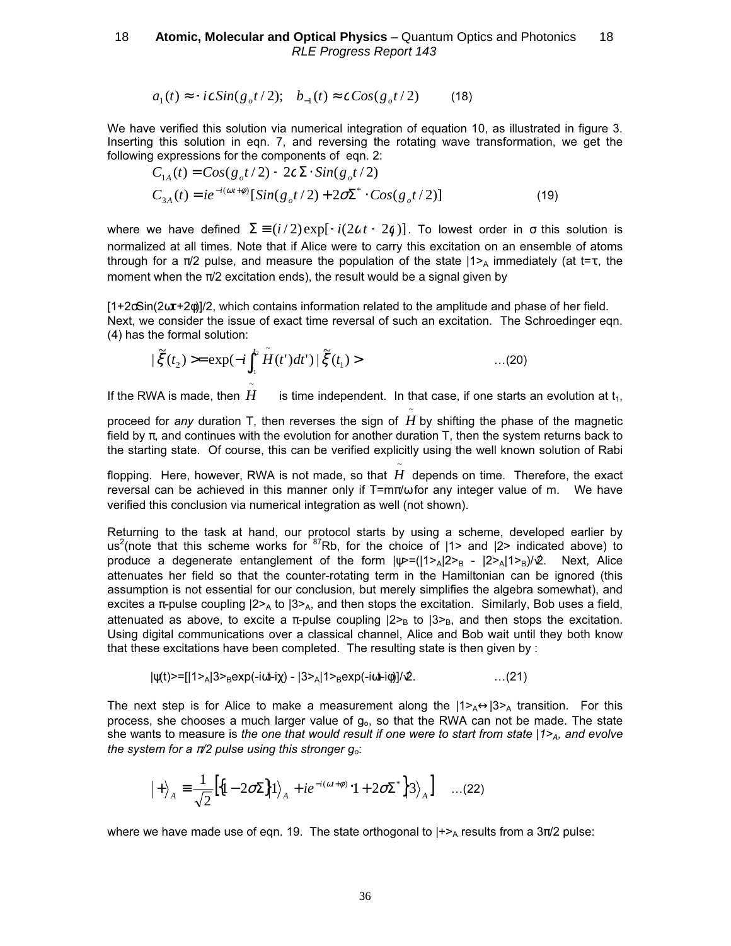$$
a_1(t) \approx -ic\sin(g_0 t/2); \quad b_{-1}(t) \approx c\cos(g_0 t/2) \tag{18}
$$

We have verified this solution via numerical integration of equation 10, as illustrated in figure 3. Inserting this solution in eqn. 7, and reversing the rotating wave transformation, we get the following expressions for the components of eqn. 2:

$$
C_{1A}(t) = Cos(g_o t/2) - 2c\Sigma \cdot Sin(g_o t/2)
$$
  
\n
$$
C_{3A}(t) = ie^{-i(\omega t + \phi)}[Sin(g_o t/2) + 2\sigma \Sigma^* \cdot Cos(g_o t/2)]
$$
\n(19)

where we have defined  $\Sigma = (i/2) \exp[-i(2\alpha t + 2\alpha)]$ . To lowest order in  $\sigma$  this solution is normalized at all times. Note that if Alice were to carry this excitation on an ensemble of atoms through for a  $\pi/2$  pulse, and measure the population of the state  $|1\rangle$  immediately (at t=τ, the moment when the  $\pi/2$  excitation ends), the result would be a signal given by

 $[1+2\delta\sin(2\omega t+2\phi)]/2$ , which contains information related to the amplitude and phase of her field. Next, we consider the issue of exact time reversal of such an excitation. The Schroedinger eqn. (4) has the formal solution:

$$
|\tilde{\xi}(t_2)\rangle = \exp(-i\int_{t_1}^{t_2} \tilde{H}(t')dt')|\tilde{\xi}(t_1)\rangle \qquad \qquad ...(20)
$$

If the RWA is made, then ~ is time independent. In that case, if one starts an evolution at  $t_1$ ,

proceed for any duration T, then reverses the sign of  $\tilde{\tilde{H}}$  by shifting the phase of the magnetic field by  $\pi$ , and continues with the evolution for another duration T, then the system returns back to the starting state. Of course, this can be verified explicitly using the well known solution of Rabi

flopping. Here, however, RWA is not made, so that *H* depends on time. Therefore, the exact reversal can be achieved in this manner only if  $T=m\pi/\omega$  for any integer value of m. We have verified this conclusion via numerical integration as well (not shown).

~

Returning to the task at hand, our protocol starts by using a scheme, developed earlier by us<sup>2</sup>(note that this scheme works for  $87Rb$ , for the choice of  $|1>$  and  $|2>$  indicated above) to produce a degenerate entanglement of the form  $|\psi=(|1\rangle_A|2\rangle_B - |2\rangle_A|1\rangle_B)/\hat{\psi}$ . Next, Alice attenuates her field so that the counter-rotating term in the Hamiltonian can be ignored (this assumption is not essential for our conclusion, but merely simplifies the algebra somewhat), and excites a  $\pi$ -pulse coupling  $|2\rangle_A$  to  $|3\rangle_A$ , and then stops the excitation. Similarly, Bob uses a field, attenuated as above, to excite a  $\pi$ -pulse coupling  $|2\rangle_B$  to  $|3\rangle_B$ , and then stops the excitation. Using digital communications over a classical channel, Alice and Bob wait until they both know that these excitations have been completed. The resulting state is then given by :

$$
|\psi(t)\rangle = [1\lambda_1|3\lambda_2| \exp(-i\omega t - i\chi) - |3\lambda_1|1\lambda_2| \exp(-i\omega t - i\phi)]/\mathcal{L}.
$$
 (21)

The next step is for Alice to make a measurement along the  $|1>_{A}\leftrightarrow|3>_{A}$  transition. For this process, she chooses a much larger value of  $g<sub>o</sub>$ , so that the RWA can not be made. The state she wants to measure is the one that would result if one were to start from state  $|1\rangle$ <sub>A</sub>, and evolve the system for a  $\pi/2$  pulse using this stronger  $g_o$ :

$$
|+\rangle_{A} \equiv \frac{1}{\sqrt{2}} \Big[ \Big\{ 1 - 2\sigma \Sigma \Big\} |1\rangle_{A} + ie^{-i(\omega t + \phi)} \Big| 1 + 2\sigma \Sigma^{*} \Big\} |3\rangle_{A} \Big] \quad ...(22)
$$

where we have made use of eqn. 19. The state orthogonal to  $\mu_{\text{A}}$  results from a  $3\pi/2$  pulse: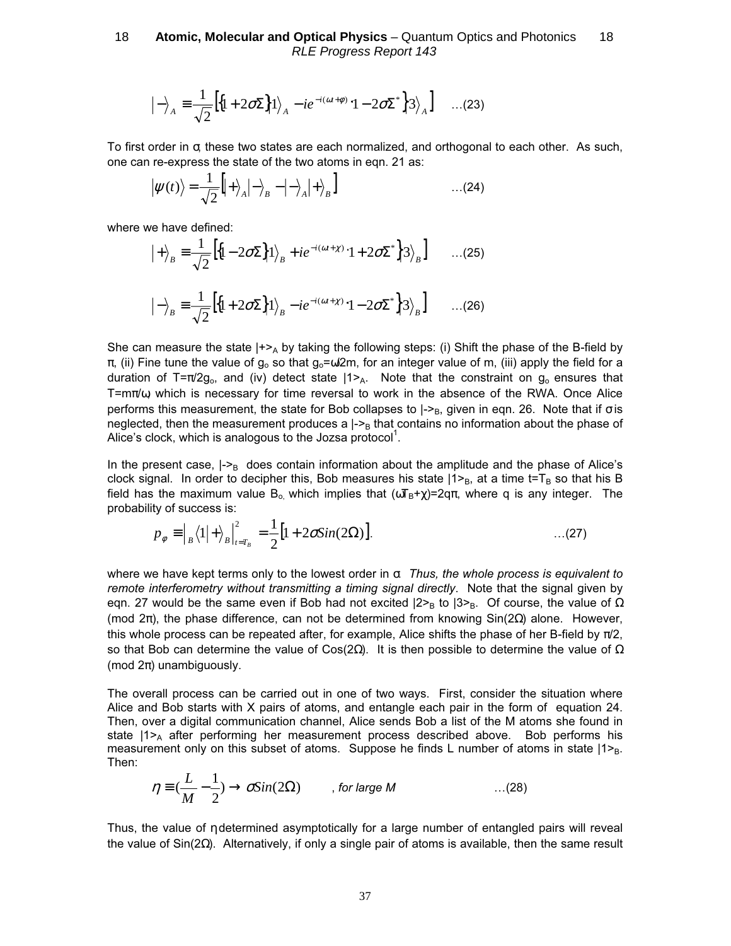$$
\left|-\right\rangle_A \equiv \frac{1}{\sqrt{2}} \left[ \left\{1 + 2\sigma \Sigma \right\} \left|1\right\rangle_A - ie^{-i(\omega t + \phi)} \left|1 - 2\sigma \Sigma^* \right| \left|3\right\rangle_A \right] \quad \dots (23)
$$

To first order in σ, these two states are each normalized, and orthogonal to each other. As such, one can re-express the state of the two atoms in eqn. 21 as:

$$
\left|\psi(t)\right\rangle = \frac{1}{\sqrt{2}}\left|\left|+\right\rangle_A\left|-\right\rangle_B - \left|-\right\rangle_A\left|+\right\rangle_B\right] \tag{24}
$$

where we have defined:

$$
|+\rangle_B \equiv \frac{1}{\sqrt{2}} \Big[ \Big\{ 1 - 2\sigma \Sigma \Big\} \Big\{ 1 \Big\}_B + ie^{-i(\omega t + \chi)} \Big\{ 1 + 2\sigma \Sigma^* \Big\} 3 \Big\}_B \Big] \qquad \dots (25)
$$

$$
|-\rangle_B \equiv \frac{1}{\sqrt{2}} \Big[ \Big\{ 1 + 2\sigma \Sigma \Big\} \Big\{ 1 \Big\}_B - ie^{-i(\omega t + \chi)} \Big\{ 1 - 2\sigma \Sigma^* \Big\} 3 \Big\}_B \Big] \qquad \dots (26)
$$

She can measure the state  $|+>_{A}$  by taking the following steps: (i) Shift the phase of the B-field by  $\pi$ , (ii) Fine tune the value of g<sub>o</sub> so that g<sub>o</sub>= $\omega$ 2m, for an integer value of m, (iii) apply the field for a duration of T= $\pi/2g_0$ , and (iv) detect state  $|1\rangle$ <sub>A</sub>. Note that the constraint on  $g_0$  ensures that T= $m\pi/\omega$ , which is necessary for time reversal to work in the absence of the RWA. Once Alice performs this measurement, the state for Bob collapses to  $|->B$ , given in eqn. 26. Note that if  $\sigma$  is neglected, then the measurement produces a  $\vert -\rangle_B$  that contains no information about the phase of Alice's clock, which is analogous to the Jozsa protocol<sup>1</sup>.

In the present case,  $|-P_B$  does contain information about the amplitude and the phase of Alice's clock signal. In order to decipher this, Bob measures his state  $|1\rangle_B$ , at a time t=T<sub>B</sub> so that his B field has the maximum value B<sub>o</sub> which implies that  $(\omega_{\text{B}}+\chi)=2q\pi$ , where q is any integer. The probability of success is:

$$
p_{\phi} \equiv \left| \frac{1}{B} \langle 1 | + \rangle \frac{1}{B} \right|_{t = T_B}^2 = \frac{1}{2} \left[ 1 + 2\sigma \sin(2\Omega) \right]. \tag{27}
$$

where we have kept terms only to the lowest order in  $\sigma$ . Thus, the whole process is equivalent to remote interferometry without transmitting a timing signal directly. Note that the signal given by eqn. 27 would be the same even if Bob had not excited  $|2\rangle$ <sub>B</sub> to  $|3\rangle$ <sub>B</sub>. Of course, the value of Ω (mod  $2π$ ), the phase difference, can not be determined from knowing  $Sin(2Ω)$  alone. However, this whole process can be repeated after, for example, Alice shifts the phase of her B-field by  $\pi/2$ , so that Bob can determine the value of Cos(2Ω). It is then possible to determine the value of  $Ω$ (mod  $2\pi$ ) unambiguously.

The overall process can be carried out in one of two ways. First, consider the situation where Alice and Bob starts with X pairs of atoms, and entangle each pair in the form of equation 24. Then, over a digital communication channel, Alice sends Bob a list of the M atoms she found in state  $|1\rangle_A$  after performing her measurement process described above. Bob performs his measurement only on this subset of atoms. Suppose he finds L number of atoms in state  $|1\rangle_B$ . Then:

$$
\eta \equiv (\frac{L}{M} - \frac{1}{2}) \rightarrow \sigma \text{Sin}(2\Omega) \qquad , \text{ for large } M \qquad \qquad \dots (28)
$$

Thus, the value of η determined asymptotically for a large number of entangled pairs will reveal the value of Sin(2Ω). Alternatively, if only a single pair of atoms is available, then the same result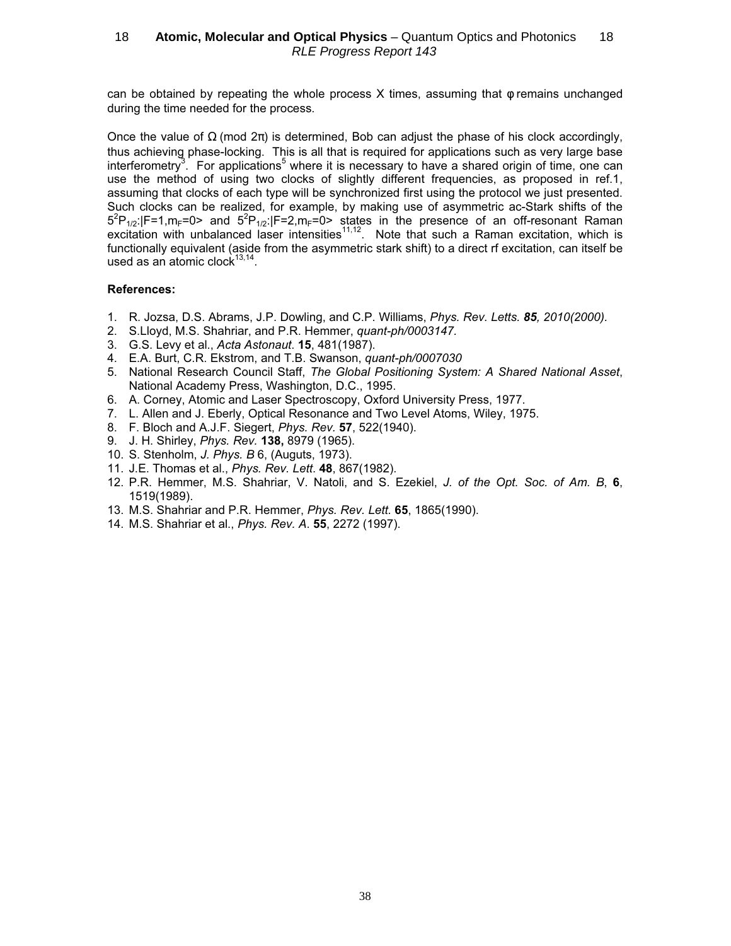can be obtained by repeating the whole process  $X$  times, assuming that  $\phi$  remains unchanged during the time needed for the process.

Once the value of  $\Omega$  (mod  $2\pi$ ) is determined, Bob can adjust the phase of his clock accordingly, thus achieving phase-locking. This is all that is required for applications such as very large base interferometry<sup>3</sup>. For applications<sup>5</sup> where it is necessary to have a shared origin of time, one can use the method of using two clocks of slightly different frequencies, as proposed in ref.1, assuming that clocks of each type will be synchronized first using the protocol we just presented. Such clocks can be realized, for example, by making use of asymmetric ac-Stark shifts of the  $5^{2}P_{1/2}$ :  $|F=1,m_{F}=0>$  and  $5^{2}P_{1/2}$ :  $|F=2,m_{F}=0>$  states in the presence of an off-resonant Raman excitation with unbalanced laser intensities<sup>11,12</sup>. Note that such a Raman excitation, which is functionally equivalent (aside from the asymmetric stark shift) to a direct rf excitation, can itself be used as an atomic clock $13,14$ 

### References:

- 1. R. Jozsa, D.S. Abrams, J.P. Dowling, and C.P. Williams, Phys. Rev. Letts. 85, 2010(2000).
- 2. S.Llovd, M.S. Shahriar, and P.R. Hemmer, *quant-ph/0003147.*
- 3. G.S. Levy et al., Acta Astonaut. 15, 481(1987).
- 4. E.A. Burt, C.R. Ekstrom, and T.B. Swanson, quant-ph/0007030
- 5. National Research Council Staff, The Global Positioning System: A Shared National Asset, National Academy Press, Washington, D.C., 1995.
- 6. A. Corney, Atomic and Laser Spectroscopy, Oxford University Press, 1977.
- 7. L. Allen and J. Eberly, Optical Resonance and Two Level Atoms, Wiley, 1975.
- 8. F. Bloch and A.J.F. Siegert, Phys. Rev. 57, 522(1940).
- 9. J. H. Shirley, Phys. Rev. 138, 8979 (1965).
- 10. S. Stenholm, J. Phys. B 6, (Auguts, 1973).
- 11. J.E. Thomas et al., Phys. Rev. Lett. 48, 867(1982).
- 12. P.R. Hemmer, M.S. Shahriar, V. Natoli, and S. Ezekiel, J. of the Opt. Soc. of Am. B, 6, 1519(1989).
- 13. M.S. Shahriar and P.R. Hemmer, Phys. Rev. Lett. 65, 1865(1990).
- 14. M.S. Shahriar et al., Phys. Rev. A. 55, 2272 (1997).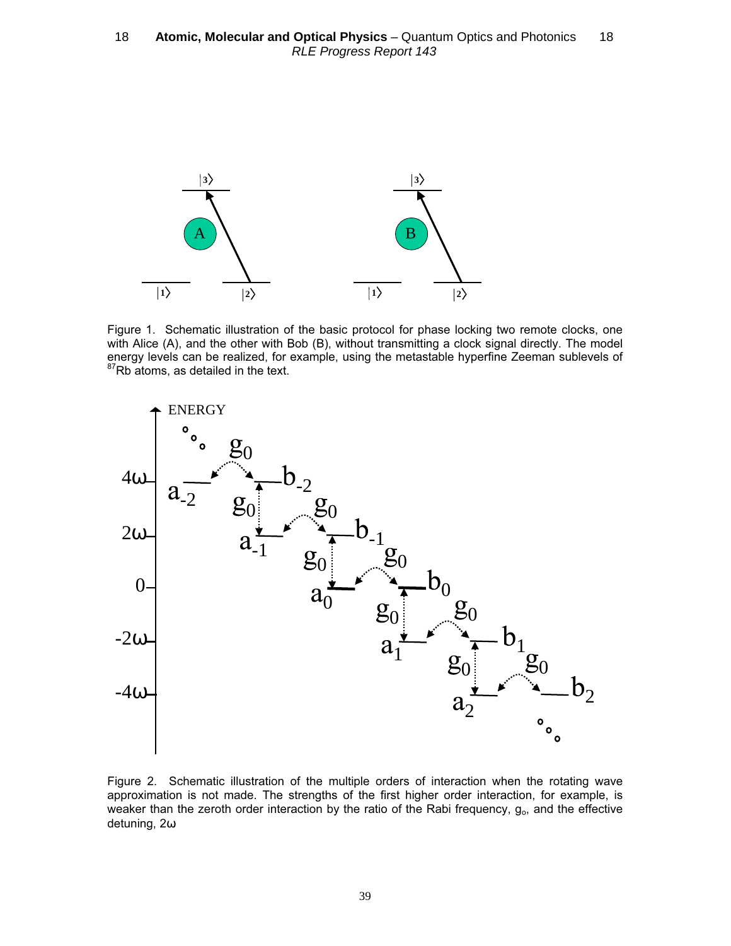

Figure 1. Schematic illustration of the basic protocol for phase locking two remote clocks, one with Alice (A), and the other with Bob (B), without transmitting a clock signal directly. The model energy levels can be realized, for example, using the metastable hyperfine Zeeman sublevels of  $87Rb$  atoms, as detailed in the text.



Figure 2. Schematic illustration of the multiple orders of interaction when the rotating wave approximation is not made. The strengths of the first higher order interaction, for example, is weaker than the zeroth order interaction by the ratio of the Rabi frequency,  $g<sub>o</sub>$ , and the effective detuning, 2ω.